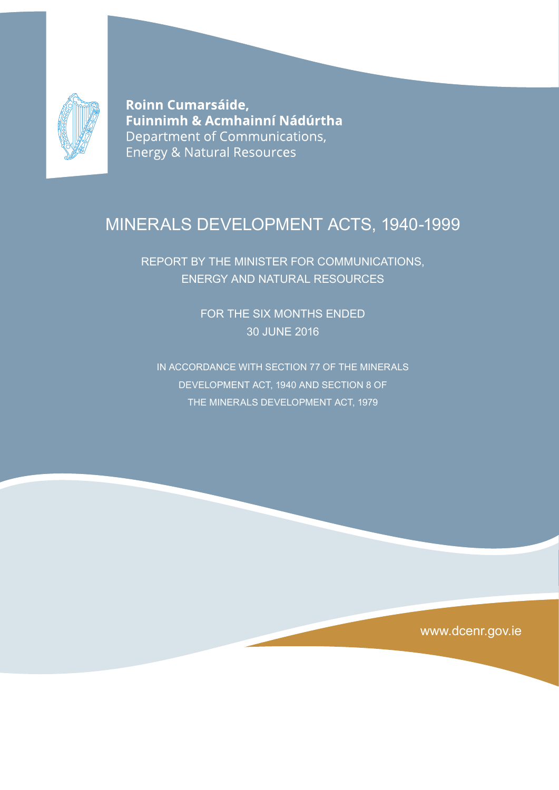

**Roinn Cumarsáide, Fuinnimh & Acmhainní Nádúrtha** Department of Communications, **Energy & Natural Resources** 

# Minerals Development Acts, 1940-1999

Report by the Minister for Communications, Energy and Natural Resources

> FOR THE SIX MONTHS ENDED 30 June 2016

In accordance with section 77 of the minerals development act, 1940 and section 8 of the minerals development act, 1979

www.dcenr.gov.ie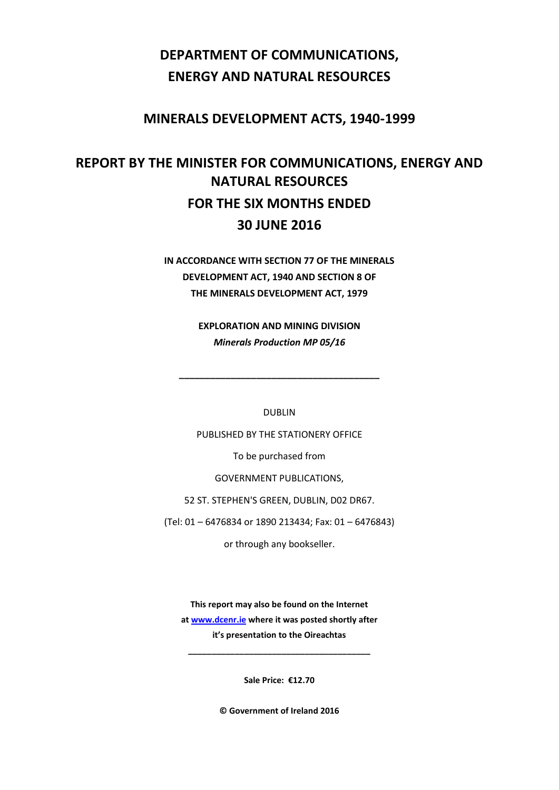# **DEPARTMENT OF COMMUNICATIONS, ENERGY AND NATURAL RESOURCES**

### **MINERALS DEVELOPMENT ACTS, 1940-1999**

# **REPORT BY THE MINISTER FOR COMMUNICATIONS, ENERGY AND NATURAL RESOURCES FOR THE SIX MONTHS ENDED 30 JUNE 2016**

**IN ACCORDANCE WITH SECTION 77 OF THE MINERALS DEVELOPMENT ACT, 1940 AND SECTION 8 OF THE MINERALS DEVELOPMENT ACT, 1979**

> **EXPLORATION AND MINING DIVISION** *Minerals Production MP 05/16*

> > DUBLIN

**\_\_\_\_\_\_\_\_\_\_\_\_\_\_\_\_\_\_\_\_\_\_\_\_\_\_\_\_\_\_\_\_\_\_\_\_\_\_\_**

PUBLISHED BY THE STATIONERY OFFICE

To be purchased from

GOVERNMENT PUBLICATIONS,

52 ST. STEPHEN'S GREEN, DUBLIN, D02 DR67.

(Tel: 01 – 6476834 or 1890 213434; Fax: 01 – 6476843)

or through any bookseller.

**This report may also be found on the Internet a[t www.dcenr.ie](http://www.dcenr.ie/) where it was posted shortly after it's presentation to the Oireachtas**

**Sale Price: €12.70**

**\_\_\_\_\_\_\_\_\_\_\_\_\_\_\_\_\_\_\_\_\_\_\_\_\_\_\_\_\_\_\_\_\_\_\_\_\_\_\_**

**© Government of Ireland 2016**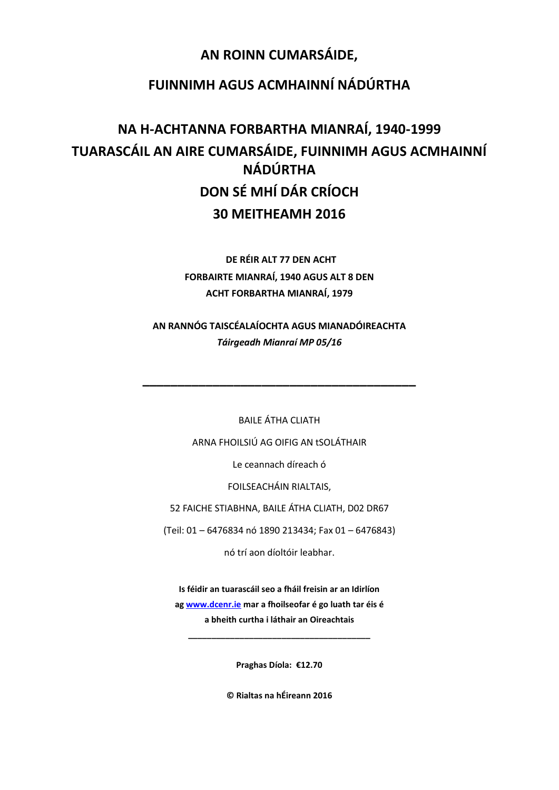# **AN ROINN CUMARSÁIDE,**

## **FUINNIMH AGUS ACMHAINNÍ NÁDÚRTHA**

# **NA H-ACHTANNA FORBARTHA MIANRAÍ, 1940-1999 TUARASCÁIL AN AIRE CUMARSÁIDE, FUINNIMH AGUS ACMHAINNÍ NÁDÚRTHA DON SÉ MHÍ DÁR CRÍOCH 30 MEITHEAMH 2016**

### **DE RÉIR ALT 77 DEN ACHT FORBAIRTE MIANRAÍ, 1940 AGUS ALT 8 DEN ACHT FORBARTHA MIANRAÍ, 1979**

### **AN RANNÓG TAISCÉALAÍOCHTA AGUS MIANADÓIREACHTA** *Táirgeadh Mianraí MP 05/16*

BAILE ÁTHA CLIATH

**\_\_\_\_\_\_\_\_\_\_\_\_\_\_\_\_\_\_\_\_\_\_\_\_\_\_\_\_\_\_\_\_\_\_\_\_\_\_\_**

ARNA FHOILSIÚ AG OIFIG AN tSOLÁTHAIR

Le ceannach díreach ó

FOILSEACHÁIN RIALTAIS,

52 FAICHE STIABHNA, BAILE ÁTHA CLIATH, D02 DR67

(Teil: 01 – 6476834 nó 1890 213434; Fax 01 – 6476843)

nó trí aon díoltóir leabhar.

**Is féidir an tuarascáil seo a fháil freisin ar an Idirlíon a[g www.dcenr.ie](http://www.dcenr.ie/) mar a fhoilseofar é go luath tar éis é a bheith curtha i láthair an Oireachtais**

**Praghas Díola: €12.70**

**\_\_\_\_\_\_\_\_\_\_\_\_\_\_\_\_\_\_\_\_\_\_\_\_\_\_\_\_\_\_\_\_\_\_\_\_\_\_\_**

**© Rialtas na hÉireann 2016**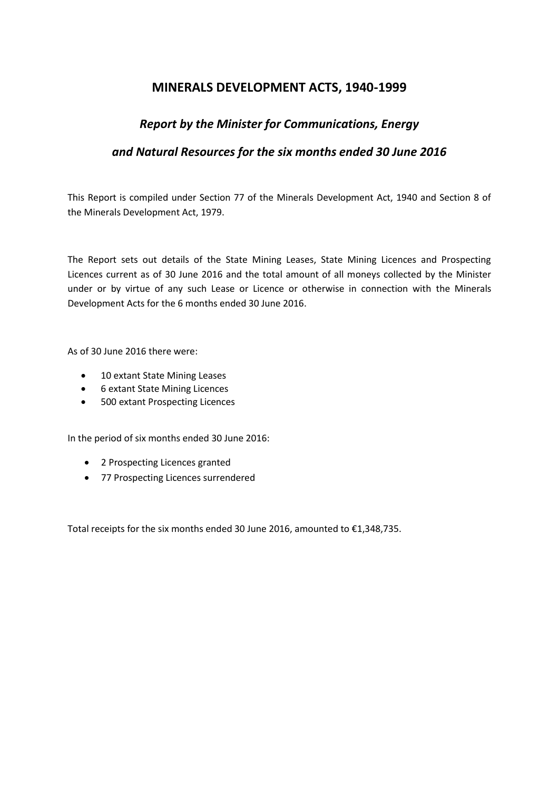### **MINERALS DEVELOPMENT ACTS, 1940-1999**

### *Report by the Minister for Communications, Energy*

### *and Natural Resources for the six months ended 30 June 2016*

This Report is compiled under Section 77 of the Minerals Development Act, 1940 and Section 8 of the Minerals Development Act, 1979.

The Report sets out details of the State Mining Leases, State Mining Licences and Prospecting Licences current as of 30 June 2016 and the total amount of all moneys collected by the Minister under or by virtue of any such Lease or Licence or otherwise in connection with the Minerals Development Acts for the 6 months ended 30 June 2016.

As of 30 June 2016 there were:

- 10 extant State Mining Leases
- 6 extant State Mining Licences
- 500 extant Prospecting Licences

In the period of six months ended 30 June 2016:

- 2 Prospecting Licences granted
- 77 Prospecting Licences surrendered

Total receipts for the six months ended 30 June 2016, amounted to €1,348,735.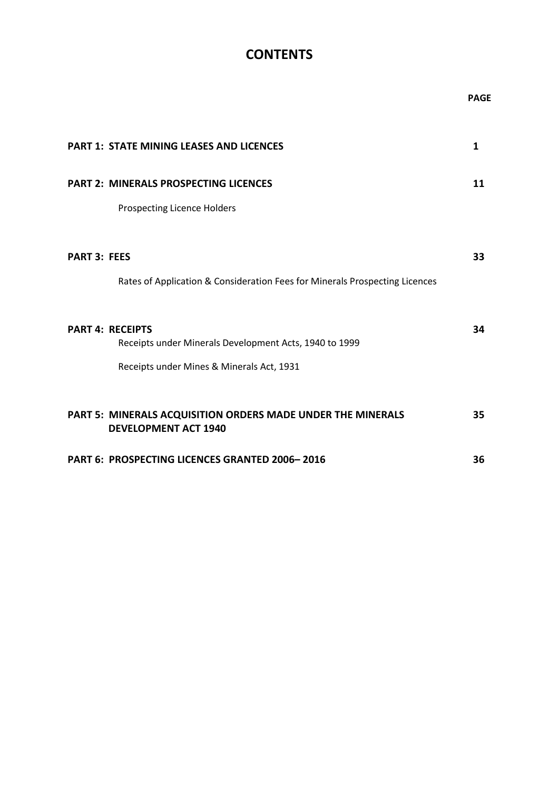### **CONTENTS**

|                                                                                                                                | <b>PAGE</b> |
|--------------------------------------------------------------------------------------------------------------------------------|-------------|
| <b>PART 1: STATE MINING LEASES AND LICENCES</b>                                                                                | 1           |
| <b>PART 2: MINERALS PROSPECTING LICENCES</b>                                                                                   | 11          |
| <b>Prospecting Licence Holders</b>                                                                                             |             |
| <b>PART 3: FEES</b><br>Rates of Application & Consideration Fees for Minerals Prospecting Licences                             | 33          |
| <b>PART 4: RECEIPTS</b><br>Receipts under Minerals Development Acts, 1940 to 1999<br>Receipts under Mines & Minerals Act, 1931 | 34          |
| PART 5: MINERALS ACQUISITION ORDERS MADE UNDER THE MINERALS<br><b>DEVELOPMENT ACT 1940</b>                                     | 35          |
| PART 6: PROSPECTING LICENCES GRANTED 2006-2016                                                                                 | 36          |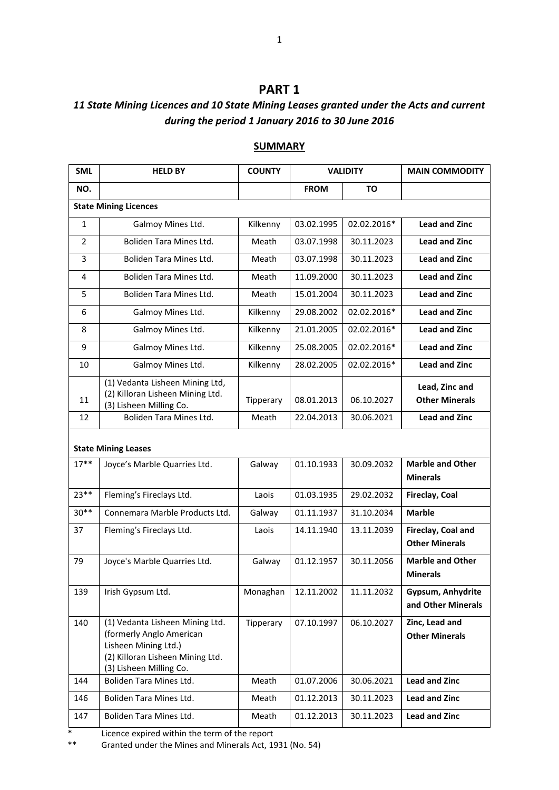### *11 State Mining Licences and 10 State Mining Leases granted under the Acts and current during the period 1 January 2016 to 30 June 2016*

| <b>SML</b>     | <b>HELD BY</b>                                                                                                                                     | <b>COUNTY</b> | <b>VALIDITY</b> |             | <b>MAIN COMMODITY</b>                       |
|----------------|----------------------------------------------------------------------------------------------------------------------------------------------------|---------------|-----------------|-------------|---------------------------------------------|
| NO.            |                                                                                                                                                    |               | <b>FROM</b>     | ΤО          |                                             |
|                | <b>State Mining Licences</b>                                                                                                                       |               |                 |             |                                             |
| $\mathbf{1}$   | Galmoy Mines Ltd.                                                                                                                                  | Kilkenny      | 03.02.1995      | 02.02.2016* | <b>Lead and Zinc</b>                        |
| $\overline{2}$ | Boliden Tara Mines Ltd.                                                                                                                            | Meath         | 03.07.1998      | 30.11.2023  | <b>Lead and Zinc</b>                        |
| 3              | Boliden Tara Mines Ltd.                                                                                                                            | Meath         | 03.07.1998      | 30.11.2023  | <b>Lead and Zinc</b>                        |
| $\overline{4}$ | Boliden Tara Mines Ltd.                                                                                                                            | Meath         | 11.09.2000      | 30.11.2023  | <b>Lead and Zinc</b>                        |
| 5              | Boliden Tara Mines Ltd.                                                                                                                            | Meath         | 15.01.2004      | 30.11.2023  | <b>Lead and Zinc</b>                        |
| 6              | Galmoy Mines Ltd.                                                                                                                                  | Kilkenny      | 29.08.2002      | 02.02.2016* | <b>Lead and Zinc</b>                        |
| 8              | Galmoy Mines Ltd.                                                                                                                                  | Kilkenny      | 21.01.2005      | 02.02.2016* | <b>Lead and Zinc</b>                        |
| 9              | Galmoy Mines Ltd.                                                                                                                                  | Kilkenny      | 25.08.2005      | 02.02.2016* | <b>Lead and Zinc</b>                        |
| 10             | Galmoy Mines Ltd.                                                                                                                                  | Kilkenny      | 28.02.2005      | 02.02.2016* | <b>Lead and Zinc</b>                        |
| 11             | (1) Vedanta Lisheen Mining Ltd,<br>(2) Killoran Lisheen Mining Ltd.<br>(3) Lisheen Milling Co.                                                     | Tipperary     | 08.01.2013      | 06.10.2027  | Lead, Zinc and<br><b>Other Minerals</b>     |
| 12             | Boliden Tara Mines Ltd.                                                                                                                            | Meath         | 22.04.2013      | 30.06.2021  | <b>Lead and Zinc</b>                        |
|                | <b>State Mining Leases</b>                                                                                                                         |               |                 |             |                                             |
| $17***$        | Joyce's Marble Quarries Ltd.                                                                                                                       | Galway        | 01.10.1933      | 30.09.2032  | <b>Marble and Other</b><br><b>Minerals</b>  |
| $23**$         | Fleming's Fireclays Ltd.                                                                                                                           | Laois         | 01.03.1935      | 29.02.2032  | Fireclay, Coal                              |
| $30**$         | Connemara Marble Products Ltd.                                                                                                                     | Galway        | 01.11.1937      | 31.10.2034  | <b>Marble</b>                               |
| 37             | Fleming's Fireclays Ltd.                                                                                                                           | Laois         | 14.11.1940      | 13.11.2039  | Fireclay, Coal and<br><b>Other Minerals</b> |
| 79             | Joyce's Marble Quarries Ltd.                                                                                                                       | Galway        | 01.12.1957      | 30.11.2056  | <b>Marble and Other</b><br><b>Minerals</b>  |
| 139            | Irish Gypsum Ltd.                                                                                                                                  | Monaghan      | 12.11.2002      | 11.11.2032  | Gypsum, Anhydrite<br>and Other Minerals     |
| 140            | (1) Vedanta Lisheen Mining Ltd.<br>(formerly Anglo American<br>Lisheen Mining Ltd.)<br>(2) Killoran Lisheen Mining Ltd.<br>(3) Lisheen Milling Co. | Tipperary     | 07.10.1997      | 06.10.2027  | Zinc, Lead and<br><b>Other Minerals</b>     |
| 144            | Boliden Tara Mines Ltd.                                                                                                                            | Meath         | 01.07.2006      | 30.06.2021  | <b>Lead and Zinc</b>                        |
| 146            | Boliden Tara Mines Ltd.                                                                                                                            | Meath         | 01.12.2013      | 30.11.2023  | <b>Lead and Zinc</b>                        |
| 147            | Boliden Tara Mines Ltd.<br>aco avoirad within the tarm of the ron                                                                                  | Meath         | 01.12.2013      | 30.11.2023  | <b>Lead and Zinc</b>                        |

#### **SUMMARY**

\* Licence expired within the term of the report

Granted under the Mines and Minerals Act, 1931 (No. 54)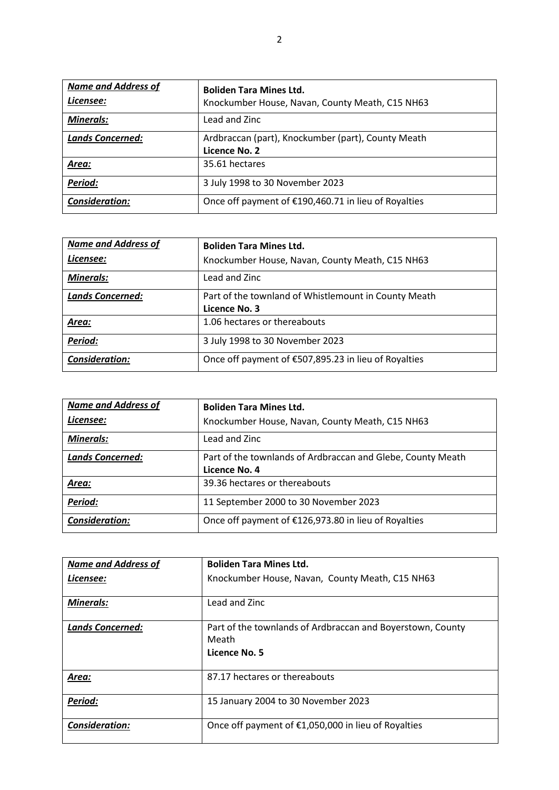| <b>Name and Address of</b><br>Licensee: | <b>Boliden Tara Mines Ltd.</b><br>Knockumber House, Navan, County Meath, C15 NH63 |
|-----------------------------------------|-----------------------------------------------------------------------------------|
| <b>Minerals:</b>                        | Lead and Zinc                                                                     |
| <b>Lands Concerned:</b>                 | Ardbraccan (part), Knockumber (part), County Meath<br>Licence No. 2               |
| Area:                                   | 35.61 hectares                                                                    |
| Period:                                 | 3 July 1998 to 30 November 2023                                                   |
| <b>Consideration:</b>                   | Once off payment of €190,460.71 in lieu of Royalties                              |

| <b>Name and Address of</b> | <b>Boliden Tara Mines Ltd.</b>                                        |
|----------------------------|-----------------------------------------------------------------------|
| Licensee:                  | Knockumber House, Navan, County Meath, C15 NH63                       |
| <b>Minerals:</b>           | Lead and Zinc                                                         |
| <b>Lands Concerned:</b>    | Part of the townland of Whistlemount in County Meath<br>Licence No. 3 |
| Area:                      | 1.06 hectares or thereabouts                                          |
| Period:                    | 3 July 1998 to 30 November 2023                                       |
| <b>Consideration:</b>      | Once off payment of €507,895.23 in lieu of Royalties                  |

| <b>Name and Address of</b> | <b>Boliden Tara Mines Ltd.</b>                                               |
|----------------------------|------------------------------------------------------------------------------|
| Licensee:                  | Knockumber House, Navan, County Meath, C15 NH63                              |
| <b>Minerals:</b>           | Lead and Zinc                                                                |
| <b>Lands Concerned:</b>    | Part of the townlands of Ardbraccan and Glebe, County Meath<br>Licence No. 4 |
| Area:                      | 39.36 hectares or thereabouts                                                |
| Period:                    | 11 September 2000 to 30 November 2023                                        |
| <b>Consideration:</b>      | Once off payment of €126,973.80 in lieu of Royalties                         |

| <b>Name and Address of</b> | <b>Boliden Tara Mines Ltd.</b>                             |
|----------------------------|------------------------------------------------------------|
| Licensee:                  | Knockumber House, Navan, County Meath, C15 NH63            |
|                            |                                                            |
| <b>Minerals:</b>           | Lead and Zinc                                              |
| <b>Lands Concerned:</b>    | Part of the townlands of Ardbraccan and Boyerstown, County |
|                            | Meath                                                      |
|                            | Licence No. 5                                              |
|                            |                                                            |
| Area:                      | 87.17 hectares or thereabouts                              |
|                            |                                                            |
| Period:                    | 15 January 2004 to 30 November 2023                        |
|                            |                                                            |
| <b>Consideration:</b>      | Once off payment of €1,050,000 in lieu of Royalties        |
|                            |                                                            |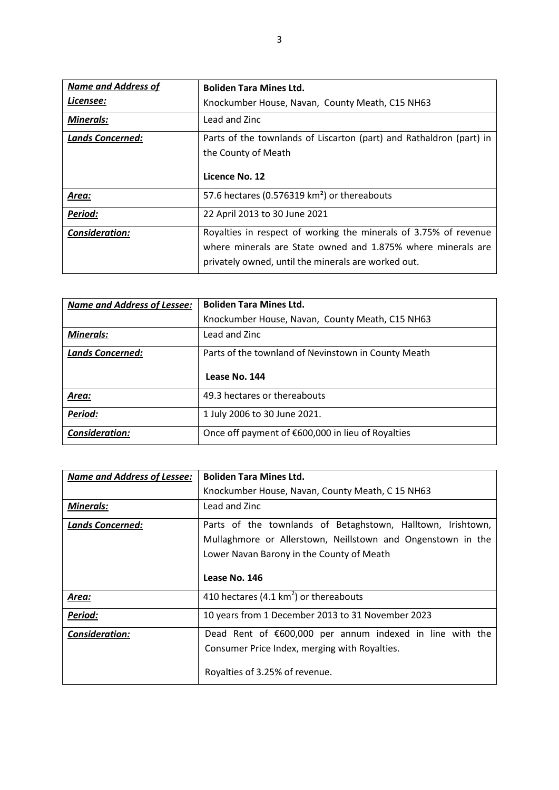| <b>Name and Address of</b> | <b>Boliden Tara Mines Ltd.</b>                                      |
|----------------------------|---------------------------------------------------------------------|
| Licensee:                  | Knockumber House, Navan, County Meath, C15 NH63                     |
| <b>Minerals:</b>           | Lead and Zinc                                                       |
| <b>Lands Concerned:</b>    | Parts of the townlands of Liscarton (part) and Rathaldron (part) in |
|                            | the County of Meath                                                 |
|                            |                                                                     |
|                            | Licence No. 12                                                      |
| <u> Area:</u>              | 57.6 hectares (0.576319 km <sup>2</sup> ) or thereabouts            |
| Period:                    | 22 April 2013 to 30 June 2021                                       |
| <b>Consideration:</b>      | Royalties in respect of working the minerals of 3.75% of revenue    |
|                            | where minerals are State owned and 1.875% where minerals are        |
|                            | privately owned, until the minerals are worked out.                 |

| <b>Name and Address of Lessee:</b> | <b>Boliden Tara Mines Ltd.</b>                      |
|------------------------------------|-----------------------------------------------------|
|                                    | Knockumber House, Navan, County Meath, C15 NH63     |
| <b>Minerals:</b>                   | Lead and Zinc                                       |
| <b>Lands Concerned:</b>            | Parts of the townland of Nevinstown in County Meath |
|                                    | Lease No. 144                                       |
| Area:                              | 49.3 hectares or thereabouts                        |
|                                    |                                                     |
| Period:                            | 1 July 2006 to 30 June 2021.                        |

| <b>Name and Address of Lessee:</b> | <b>Boliden Tara Mines Ltd.</b>                                                                                                                                                           |
|------------------------------------|------------------------------------------------------------------------------------------------------------------------------------------------------------------------------------------|
|                                    | Knockumber House, Navan, County Meath, C 15 NH63                                                                                                                                         |
| <b>Minerals:</b>                   | Lead and Zinc                                                                                                                                                                            |
| <b>Lands Concerned:</b>            | Parts of the townlands of Betaghstown, Halltown, Irishtown,<br>Mullaghmore or Allerstown, Neillstown and Ongenstown in the<br>Lower Navan Barony in the County of Meath<br>Lease No. 146 |
| Area:                              | 410 hectares (4.1 km <sup>2</sup> ) or thereabouts                                                                                                                                       |
| Period:                            | 10 years from 1 December 2013 to 31 November 2023                                                                                                                                        |
| Consideration:                     | Dead Rent of $\epsilon$ 600,000 per annum indexed in line with the<br>Consumer Price Index, merging with Royalties.<br>Royalties of 3.25% of revenue.                                    |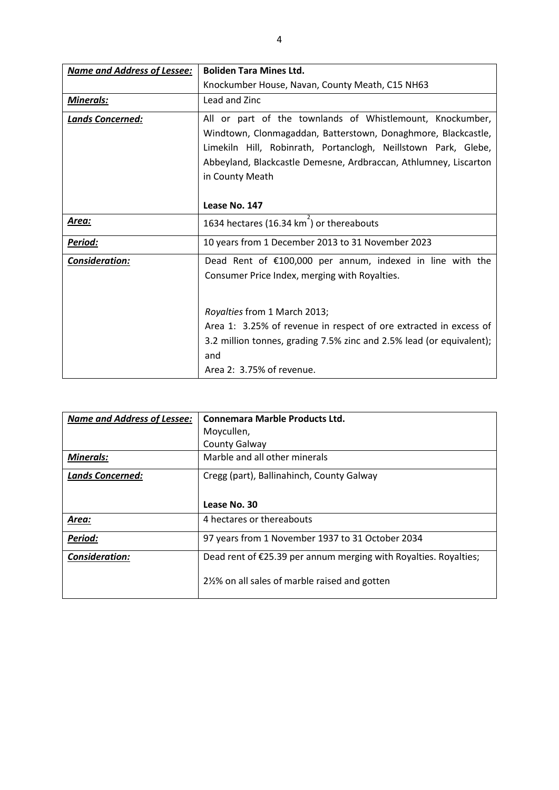| <b>Name and Address of Lessee:</b> | <b>Boliden Tara Mines Ltd.</b>                                                                                                                                                                                                                                                      |
|------------------------------------|-------------------------------------------------------------------------------------------------------------------------------------------------------------------------------------------------------------------------------------------------------------------------------------|
|                                    | Knockumber House, Navan, County Meath, C15 NH63                                                                                                                                                                                                                                     |
| <b>Minerals:</b>                   | Lead and Zinc                                                                                                                                                                                                                                                                       |
| Lands Concerned:                   | All or part of the townlands of Whistlemount, Knockumber,<br>Windtown, Clonmagaddan, Batterstown, Donaghmore, Blackcastle,<br>Limekiln Hill, Robinrath, Portanclogh, Neillstown Park, Glebe,<br>Abbeyland, Blackcastle Demesne, Ardbraccan, Athlumney, Liscarton<br>in County Meath |
|                                    | Lease No. 147                                                                                                                                                                                                                                                                       |
| Area:                              | 1634 hectares (16.34 km) or thereabouts                                                                                                                                                                                                                                             |
| Period:                            | 10 years from 1 December 2013 to 31 November 2023                                                                                                                                                                                                                                   |
| Consideration:                     | Dead Rent of $£100,000$ per annum, indexed in line with the<br>Consumer Price Index, merging with Royalties.                                                                                                                                                                        |
|                                    | Royalties from 1 March 2013;                                                                                                                                                                                                                                                        |
|                                    | Area 1: 3.25% of revenue in respect of ore extracted in excess of                                                                                                                                                                                                                   |
|                                    | 3.2 million tonnes, grading 7.5% zinc and 2.5% lead (or equivalent);<br>and                                                                                                                                                                                                         |
|                                    | Area 2: 3.75% of revenue.                                                                                                                                                                                                                                                           |

| <b>Name and Address of Lessee:</b> | Connemara Marble Products Ltd.                                   |
|------------------------------------|------------------------------------------------------------------|
|                                    | Moycullen,                                                       |
|                                    | <b>County Galway</b>                                             |
| <b>Minerals:</b>                   | Marble and all other minerals                                    |
| <b>Lands Concerned:</b>            | Cregg (part), Ballinahinch, County Galway                        |
|                                    |                                                                  |
|                                    | Lease No. 30                                                     |
| Area:                              | 4 hectares or thereabouts                                        |
| Period:                            | 97 years from 1 November 1937 to 31 October 2034                 |
| <b>Consideration:</b>              | Dead rent of €25.39 per annum merging with Royalties. Royalties; |
|                                    | 2½% on all sales of marble raised and gotten                     |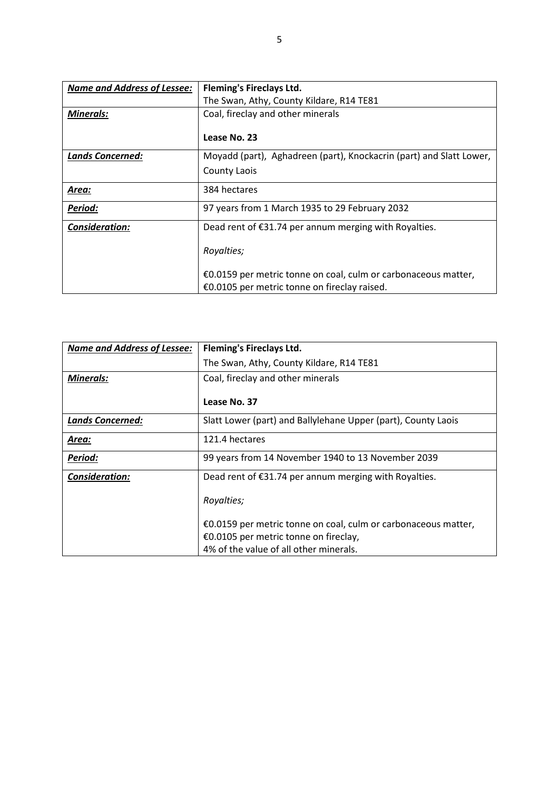| <b>Name and Address of Lessee:</b> | <b>Fleming's Fireclays Ltd.</b>                                     |
|------------------------------------|---------------------------------------------------------------------|
|                                    | The Swan, Athy, County Kildare, R14 TE81                            |
| <b>Minerals:</b>                   | Coal, fireclay and other minerals                                   |
|                                    | Lease No. 23                                                        |
| <b>Lands Concerned:</b>            | Moyadd (part), Aghadreen (part), Knockacrin (part) and Slatt Lower, |
|                                    | <b>County Laois</b>                                                 |
| Area:                              | 384 hectares                                                        |
| Period:                            | 97 years from 1 March 1935 to 29 February 2032                      |
| <b>Consideration:</b>              | Dead rent of €31.74 per annum merging with Royalties.               |
|                                    | Royalties;                                                          |
|                                    | €0.0159 per metric tonne on coal, culm or carbonaceous matter,      |
|                                    | €0.0105 per metric tonne on fireclay raised.                        |

| <b>Name and Address of Lessee:</b> | <b>Fleming's Fireclays Ltd.</b>                                |  |  |  |  |
|------------------------------------|----------------------------------------------------------------|--|--|--|--|
|                                    | The Swan, Athy, County Kildare, R14 TE81                       |  |  |  |  |
| <b>Minerals:</b>                   | Coal, fireclay and other minerals                              |  |  |  |  |
|                                    |                                                                |  |  |  |  |
|                                    | Lease No. 37                                                   |  |  |  |  |
| <b>Lands Concerned:</b>            | Slatt Lower (part) and Ballylehane Upper (part), County Laois  |  |  |  |  |
| Area:                              | 121.4 hectares                                                 |  |  |  |  |
| Period:                            | 99 years from 14 November 1940 to 13 November 2039             |  |  |  |  |
| <b>Consideration:</b>              | Dead rent of €31.74 per annum merging with Royalties.          |  |  |  |  |
|                                    | Royalties;                                                     |  |  |  |  |
|                                    | €0.0159 per metric tonne on coal, culm or carbonaceous matter, |  |  |  |  |
|                                    | €0.0105 per metric tonne on fireclay,                          |  |  |  |  |
|                                    | 4% of the value of all other minerals.                         |  |  |  |  |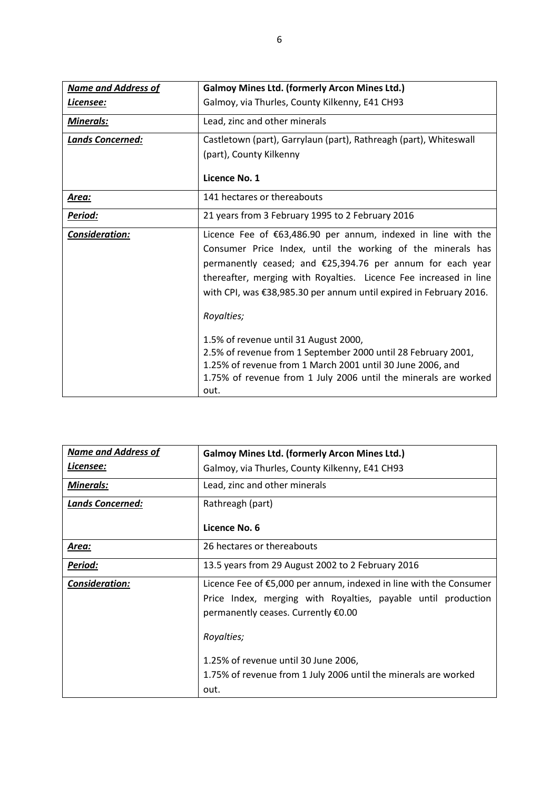| <b>Name and Address of</b> | <b>Galmoy Mines Ltd. (formerly Arcon Mines Ltd.)</b>                                                                                                                                                                                                                                                                                                                                                                                                          |  |  |  |
|----------------------------|---------------------------------------------------------------------------------------------------------------------------------------------------------------------------------------------------------------------------------------------------------------------------------------------------------------------------------------------------------------------------------------------------------------------------------------------------------------|--|--|--|
| <u>Licensee:</u>           | Galmoy, via Thurles, County Kilkenny, E41 CH93                                                                                                                                                                                                                                                                                                                                                                                                                |  |  |  |
| <b>Minerals:</b>           | Lead, zinc and other minerals                                                                                                                                                                                                                                                                                                                                                                                                                                 |  |  |  |
| Lands Concerned:           | Castletown (part), Garrylaun (part), Rathreagh (part), Whiteswall                                                                                                                                                                                                                                                                                                                                                                                             |  |  |  |
|                            | (part), County Kilkenny                                                                                                                                                                                                                                                                                                                                                                                                                                       |  |  |  |
|                            | Licence No. 1                                                                                                                                                                                                                                                                                                                                                                                                                                                 |  |  |  |
| <u> Area:</u>              | 141 hectares or thereabouts                                                                                                                                                                                                                                                                                                                                                                                                                                   |  |  |  |
| Period:                    | 21 years from 3 February 1995 to 2 February 2016                                                                                                                                                                                                                                                                                                                                                                                                              |  |  |  |
| Consideration:             | Licence Fee of €63,486.90 per annum, indexed in line with the<br>Consumer Price Index, until the working of the minerals has<br>permanently ceased; and €25,394.76 per annum for each year<br>thereafter, merging with Royalties. Licence Fee increased in line<br>with CPI, was €38,985.30 per annum until expired in February 2016.<br>Royalties;<br>1.5% of revenue until 31 August 2000,<br>2.5% of revenue from 1 September 2000 until 28 February 2001, |  |  |  |
|                            | 1.25% of revenue from 1 March 2001 until 30 June 2006, and<br>1.75% of revenue from 1 July 2006 until the minerals are worked<br>out.                                                                                                                                                                                                                                                                                                                         |  |  |  |

| <b>Name and Address of</b> | <b>Galmoy Mines Ltd. (formerly Arcon Mines Ltd.)</b>                                                                                                                                                                               |  |  |
|----------------------------|------------------------------------------------------------------------------------------------------------------------------------------------------------------------------------------------------------------------------------|--|--|
| <u>Licensee:</u>           | Galmoy, via Thurles, County Kilkenny, E41 CH93                                                                                                                                                                                     |  |  |
| <b>Minerals:</b>           | Lead, zinc and other minerals                                                                                                                                                                                                      |  |  |
| <b>Lands Concerned:</b>    | Rathreagh (part)                                                                                                                                                                                                                   |  |  |
|                            | Licence No. 6                                                                                                                                                                                                                      |  |  |
| Area:                      | 26 hectares or thereabouts                                                                                                                                                                                                         |  |  |
| Period:                    | 13.5 years from 29 August 2002 to 2 February 2016                                                                                                                                                                                  |  |  |
| Consideration:             | Licence Fee of $E$ ,000 per annum, indexed in line with the Consumer<br>Price Index, merging with Royalties, payable until production<br>permanently ceases. Currently €0.00<br>Royalties;<br>1.25% of revenue until 30 June 2006, |  |  |
|                            | 1.75% of revenue from 1 July 2006 until the minerals are worked<br>out.                                                                                                                                                            |  |  |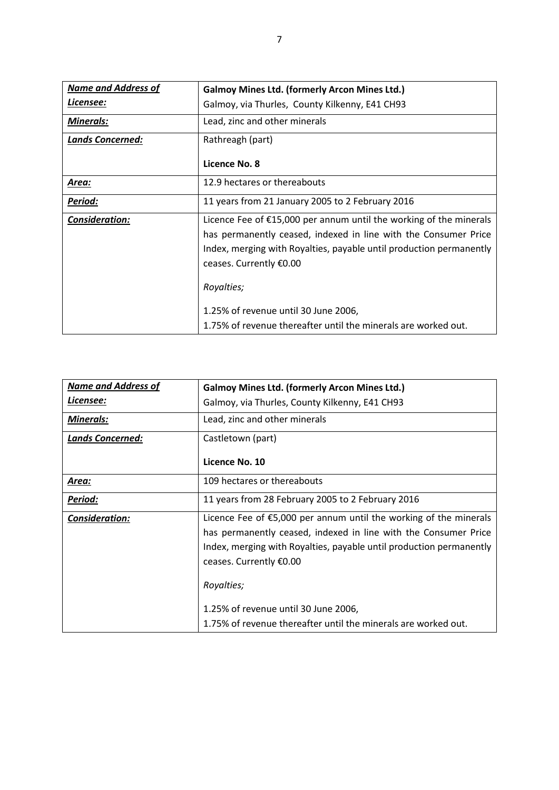| <b>Name and Address of</b> | <b>Galmoy Mines Ltd. (formerly Arcon Mines Ltd.)</b>                                                                                                                                                                                                    |  |  |
|----------------------------|---------------------------------------------------------------------------------------------------------------------------------------------------------------------------------------------------------------------------------------------------------|--|--|
| <u>Licensee:</u>           | Galmoy, via Thurles, County Kilkenny, E41 CH93                                                                                                                                                                                                          |  |  |
| <b>Minerals:</b>           | Lead, zinc and other minerals                                                                                                                                                                                                                           |  |  |
| <b>Lands Concerned:</b>    | Rathreagh (part)                                                                                                                                                                                                                                        |  |  |
|                            | Licence No. 8                                                                                                                                                                                                                                           |  |  |
| Area:                      | 12.9 hectares or thereabouts                                                                                                                                                                                                                            |  |  |
| Period:                    | 11 years from 21 January 2005 to 2 February 2016                                                                                                                                                                                                        |  |  |
| Consideration:             | Licence Fee of $£15,000$ per annum until the working of the minerals<br>has permanently ceased, indexed in line with the Consumer Price<br>Index, merging with Royalties, payable until production permanently<br>ceases. Currently €0.00<br>Royalties; |  |  |
|                            | 1.25% of revenue until 30 June 2006,<br>1.75% of revenue thereafter until the minerals are worked out.                                                                                                                                                  |  |  |

| <b>Name and Address of</b> | <b>Galmoy Mines Ltd. (formerly Arcon Mines Ltd.)</b>                                                                                                                                                                                                   |  |  |
|----------------------------|--------------------------------------------------------------------------------------------------------------------------------------------------------------------------------------------------------------------------------------------------------|--|--|
| Licensee:                  | Galmoy, via Thurles, County Kilkenny, E41 CH93                                                                                                                                                                                                         |  |  |
| <b>Minerals:</b>           | Lead, zinc and other minerals                                                                                                                                                                                                                          |  |  |
| <b>Lands Concerned:</b>    | Castletown (part)                                                                                                                                                                                                                                      |  |  |
|                            | Licence No. 10                                                                                                                                                                                                                                         |  |  |
| Area:                      | 109 hectares or thereabouts                                                                                                                                                                                                                            |  |  |
| Period:                    | 11 years from 28 February 2005 to 2 February 2016                                                                                                                                                                                                      |  |  |
| <b>Consideration:</b>      | Licence Fee of $E$ ,000 per annum until the working of the minerals<br>has permanently ceased, indexed in line with the Consumer Price<br>Index, merging with Royalties, payable until production permanently<br>ceases. Currently €0.00<br>Royalties; |  |  |
|                            | 1.25% of revenue until 30 June 2006,<br>1.75% of revenue thereafter until the minerals are worked out.                                                                                                                                                 |  |  |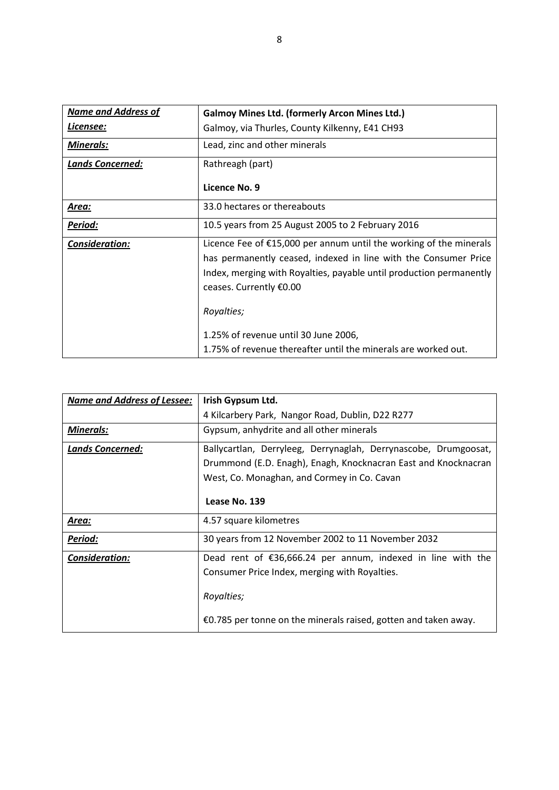| 10.5 years from 25 August 2005 to 2 February 2016                                                                                                                                                              |  |  |
|----------------------------------------------------------------------------------------------------------------------------------------------------------------------------------------------------------------|--|--|
| Licence Fee of $£15,000$ per annum until the working of the minerals<br>has permanently ceased, indexed in line with the Consumer Price<br>Index, merging with Royalties, payable until production permanently |  |  |
| 1.75% of revenue thereafter until the minerals are worked out.                                                                                                                                                 |  |  |

| <b>Name and Address of Lessee:</b> | Irish Gypsum Ltd.                                               |  |  |  |  |
|------------------------------------|-----------------------------------------------------------------|--|--|--|--|
|                                    | 4 Kilcarbery Park, Nangor Road, Dublin, D22 R277                |  |  |  |  |
| <b>Minerals:</b>                   | Gypsum, anhydrite and all other minerals                        |  |  |  |  |
| <b>Lands Concerned:</b>            | Ballycartlan, Derryleeg, Derrynaglah, Derrynascobe, Drumgoosat, |  |  |  |  |
|                                    | Drummond (E.D. Enagh), Enagh, Knocknacran East and Knocknacran  |  |  |  |  |
|                                    | West, Co. Monaghan, and Cormey in Co. Cavan                     |  |  |  |  |
|                                    |                                                                 |  |  |  |  |
|                                    | Lease No. 139                                                   |  |  |  |  |
| Area:                              | 4.57 square kilometres                                          |  |  |  |  |
| Period:                            | 30 years from 12 November 2002 to 11 November 2032              |  |  |  |  |
| Consideration:                     | Dead rent of $$36,666.24$ per annum, indexed in line with the   |  |  |  |  |
|                                    | Consumer Price Index, merging with Royalties.                   |  |  |  |  |
|                                    |                                                                 |  |  |  |  |
|                                    | Royalties;                                                      |  |  |  |  |
|                                    | €0.785 per tonne on the minerals raised, gotten and taken away. |  |  |  |  |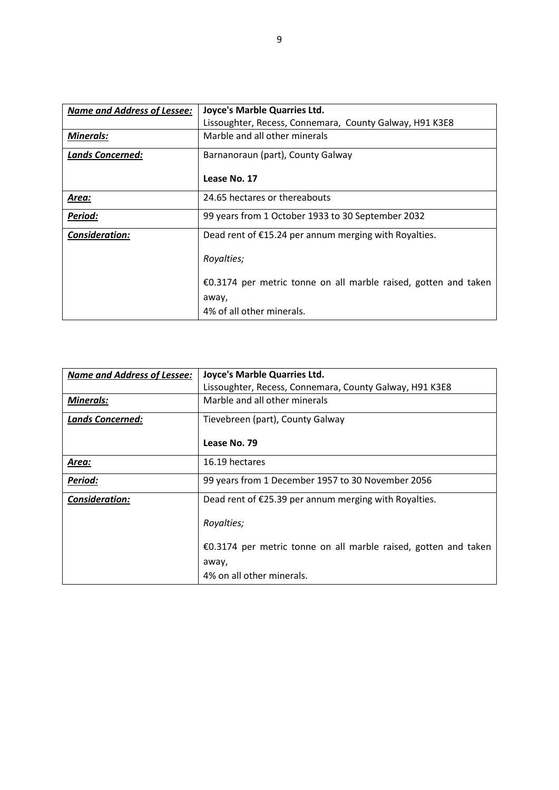| <b>Name and Address of Lessee:</b> | Joyce's Marble Quarries Ltd.                                    |  |  |  |
|------------------------------------|-----------------------------------------------------------------|--|--|--|
|                                    | Lissoughter, Recess, Connemara, County Galway, H91 K3E8         |  |  |  |
| <b>Minerals:</b>                   | Marble and all other minerals                                   |  |  |  |
| <b>Lands Concerned:</b>            | Barnanoraun (part), County Galway                               |  |  |  |
|                                    | Lease No. 17                                                    |  |  |  |
| Area:                              | 24.65 hectares or thereabouts                                   |  |  |  |
| Period:                            | 99 years from 1 October 1933 to 30 September 2032               |  |  |  |
| Consideration:                     | Dead rent of $£15.24$ per annum merging with Royalties.         |  |  |  |
|                                    | Royalties;                                                      |  |  |  |
|                                    | €0.3174 per metric tonne on all marble raised, gotten and taken |  |  |  |
|                                    | away,                                                           |  |  |  |
|                                    | 4% of all other minerals.                                       |  |  |  |

| <b>Name and Address of Lessee:</b> | Joyce's Marble Quarries Ltd.                                    |  |  |  |
|------------------------------------|-----------------------------------------------------------------|--|--|--|
|                                    | Lissoughter, Recess, Connemara, County Galway, H91 K3E8         |  |  |  |
| <b>Minerals:</b>                   | Marble and all other minerals                                   |  |  |  |
| <b>Lands Concerned:</b>            | Tievebreen (part), County Galway                                |  |  |  |
|                                    | Lease No. 79                                                    |  |  |  |
| Area:                              | 16.19 hectares                                                  |  |  |  |
| Period:                            | 99 years from 1 December 1957 to 30 November 2056               |  |  |  |
| Consideration:                     | Dead rent of €25.39 per annum merging with Royalties.           |  |  |  |
|                                    | Royalties;                                                      |  |  |  |
|                                    | €0.3174 per metric tonne on all marble raised, gotten and taken |  |  |  |
|                                    | away,                                                           |  |  |  |
|                                    | 4% on all other minerals.                                       |  |  |  |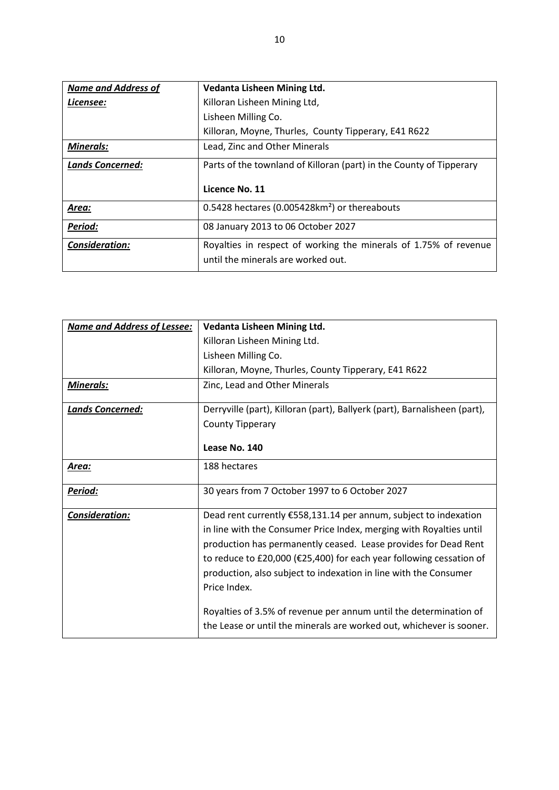| <b>Name and Address of</b> | Vedanta Lisheen Mining Ltd.                                         |  |  |  |
|----------------------------|---------------------------------------------------------------------|--|--|--|
| Licensee:                  | Killoran Lisheen Mining Ltd,                                        |  |  |  |
|                            | Lisheen Milling Co.                                                 |  |  |  |
|                            | Killoran, Moyne, Thurles, County Tipperary, E41 R622                |  |  |  |
| <b>Minerals:</b>           | Lead, Zinc and Other Minerals                                       |  |  |  |
| <b>Lands Concerned:</b>    | Parts of the townland of Killoran (part) in the County of Tipperary |  |  |  |
|                            | Licence No. 11                                                      |  |  |  |
| Area:                      | 0.5428 hectares (0.005428km <sup>2</sup> ) or thereabouts           |  |  |  |
| Period:                    | 08 January 2013 to 06 October 2027                                  |  |  |  |
| <b>Consideration:</b>      | Royalties in respect of working the minerals of 1.75% of revenue    |  |  |  |
|                            | until the minerals are worked out.                                  |  |  |  |

| <b>Name and Address of Lessee:</b>                               | Vedanta Lisheen Mining Ltd.                                               |  |  |  |
|------------------------------------------------------------------|---------------------------------------------------------------------------|--|--|--|
|                                                                  | Killoran Lisheen Mining Ltd.                                              |  |  |  |
|                                                                  | Lisheen Milling Co.                                                       |  |  |  |
|                                                                  | Killoran, Moyne, Thurles, County Tipperary, E41 R622                      |  |  |  |
| <b>Minerals:</b>                                                 | Zinc, Lead and Other Minerals                                             |  |  |  |
| Lands Concerned:                                                 | Derryville (part), Killoran (part), Ballyerk (part), Barnalisheen (part), |  |  |  |
|                                                                  | <b>County Tipperary</b>                                                   |  |  |  |
|                                                                  |                                                                           |  |  |  |
|                                                                  | Lease No. 140                                                             |  |  |  |
| <u>Area:</u>                                                     | 188 hectares                                                              |  |  |  |
| Period:                                                          | 30 years from 7 October 1997 to 6 October 2027                            |  |  |  |
|                                                                  |                                                                           |  |  |  |
| Consideration:                                                   | Dead rent currently €558,131.14 per annum, subject to indexation          |  |  |  |
|                                                                  | in line with the Consumer Price Index, merging with Royalties until       |  |  |  |
|                                                                  | production has permanently ceased. Lease provides for Dead Rent           |  |  |  |
|                                                                  | to reduce to £20,000 (€25,400) for each year following cessation of       |  |  |  |
| production, also subject to indexation in line with the Consumer |                                                                           |  |  |  |
|                                                                  | Price Index.                                                              |  |  |  |
|                                                                  |                                                                           |  |  |  |
|                                                                  | Royalties of 3.5% of revenue per annum until the determination of         |  |  |  |
|                                                                  | the Lease or until the minerals are worked out, whichever is sooner.      |  |  |  |
|                                                                  |                                                                           |  |  |  |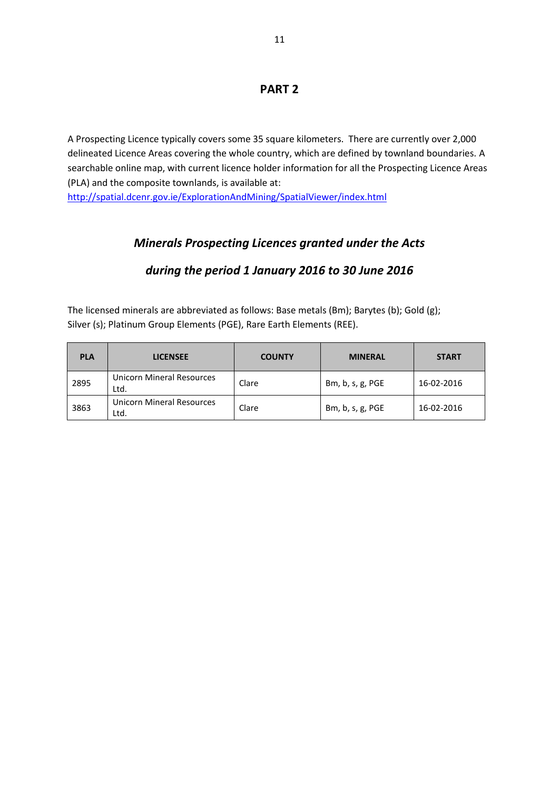A Prospecting Licence typically covers some 35 square kilometers. There are currently over 2,000 delineated Licence Areas covering the whole country, which are defined by townland boundaries. A searchable online map, with current licence holder information for all the Prospecting Licence Areas (PLA) and the composite townlands, is available at:

<http://spatial.dcenr.gov.ie/ExplorationAndMining/SpatialViewer/index.html>

### *Minerals Prospecting Licences granted under the Acts*

### *during the period 1 January 2016 to 30 June 2016*

The licensed minerals are abbreviated as follows: Base metals (Bm); Barytes (b); Gold (g); Silver (s); Platinum Group Elements (PGE), Rare Earth Elements (REE).

| <b>PLA</b> | <b>LICENSEE</b>                          | <b>COUNTY</b> | <b>MINERAL</b>   | <b>START</b> |
|------------|------------------------------------------|---------------|------------------|--------------|
| 2895       | <b>Unicorn Mineral Resources</b><br>Ltd. | Clare         | Bm, b, s, g, PGE | 16-02-2016   |
| 3863       | <b>Unicorn Mineral Resources</b><br>Ltd. | Clare         | Bm, b, s, g, PGE | 16-02-2016   |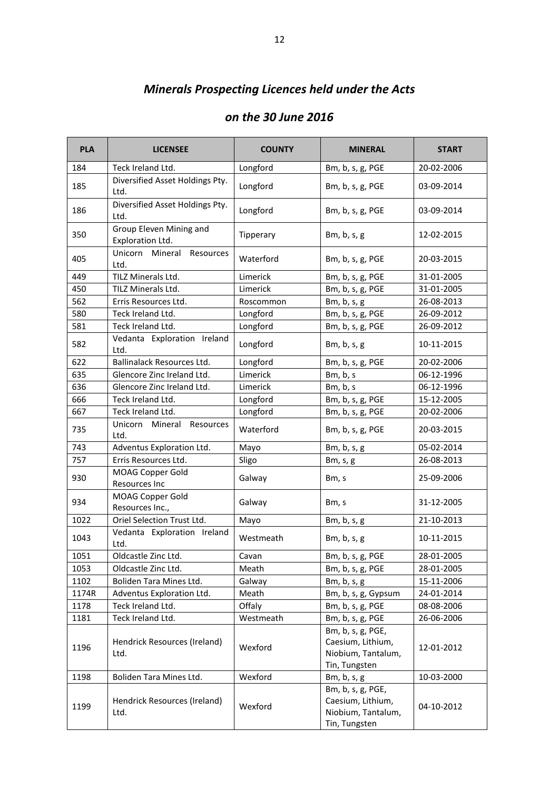# *Minerals Prospecting Licences held under the Acts*

### *on the 30 June 2016*

| <b>PLA</b> | <b>LICENSEE</b>                             | <b>COUNTY</b> | <b>MINERAL</b>                                                                | <b>START</b> |
|------------|---------------------------------------------|---------------|-------------------------------------------------------------------------------|--------------|
| 184        | Teck Ireland Ltd.                           | Longford      | Bm, b, s, g, PGE                                                              | 20-02-2006   |
| 185        | Diversified Asset Holdings Pty.<br>Ltd.     | Longford      | Bm, b, s, g, PGE                                                              | 03-09-2014   |
| 186        | Diversified Asset Holdings Pty.<br>Ltd.     | Longford      | Bm, b, s, g, PGE                                                              | 03-09-2014   |
| 350        | Group Eleven Mining and<br>Exploration Ltd. | Tipperary     | $Bm$ , b, s, g                                                                | 12-02-2015   |
| 405        | Unicorn Mineral Resources<br>Ltd.           | Waterford     | Bm, b, s, g, PGE                                                              | 20-03-2015   |
| 449        | TILZ Minerals Ltd.                          | Limerick      | Bm, b, s, g, PGE                                                              | 31-01-2005   |
| 450        | TILZ Minerals Ltd.                          | Limerick      | Bm, b, s, g, PGE                                                              | 31-01-2005   |
| 562        | Erris Resources Ltd.                        | Roscommon     | Bm, b, s, g                                                                   | 26-08-2013   |
| 580        | Teck Ireland Ltd.                           | Longford      | Bm, b, s, g, PGE                                                              | 26-09-2012   |
| 581        | Teck Ireland Ltd.                           | Longford      | Bm, b, s, g, PGE                                                              | 26-09-2012   |
| 582        | Vedanta Exploration Ireland<br>Ltd.         | Longford      | Bm, b, s, g                                                                   | 10-11-2015   |
| 622        | Ballinalack Resources Ltd.                  | Longford      | Bm, b, s, g, PGE                                                              | 20-02-2006   |
| 635        | Glencore Zinc Ireland Ltd.                  | Limerick      | Bm, b, s                                                                      | 06-12-1996   |
| 636        | Glencore Zinc Ireland Ltd.                  | Limerick      | Bm, b, s                                                                      | 06-12-1996   |
| 666        | Teck Ireland Ltd.                           | Longford      | Bm, b, s, g, PGE                                                              | 15-12-2005   |
| 667        | Teck Ireland Ltd.                           | Longford      | Bm, b, s, g, PGE                                                              | 20-02-2006   |
| 735        | Unicorn Mineral Resources<br>Ltd.           | Waterford     | Bm, b, s, g, PGE                                                              | 20-03-2015   |
| 743        | Adventus Exploration Ltd.                   | Mayo          | Bm, b, s, g                                                                   | 05-02-2014   |
| 757        | Erris Resources Ltd.                        | Sligo         | Bm, s, g                                                                      | 26-08-2013   |
| 930        | MOAG Copper Gold<br>Resources Inc           | Galway        | Bm, s                                                                         | 25-09-2006   |
| 934        | MOAG Copper Gold<br>Resources Inc.,         | Galway        | Bm, s                                                                         | 31-12-2005   |
| 1022       | Oriel Selection Trust Ltd.                  | Mayo          | Bm, b, s, g                                                                   | 21-10-2013   |
| 1043       | Vedanta Exploration Ireland<br>Ltd.         | Westmeath     | Bm, b, s, g                                                                   | 10-11-2015   |
| 1051       | Oldcastle Zinc Ltd.                         | Cavan         | Bm, b, s, g, PGE                                                              | 28-01-2005   |
| 1053       | Oldcastle Zinc Ltd.                         | Meath         | Bm, b, s, g, PGE                                                              | 28-01-2005   |
| 1102       | Boliden Tara Mines Ltd.                     | Galway        | Bm, $b$ , $s$ , $g$                                                           | 15-11-2006   |
| 1174R      | Adventus Exploration Ltd.                   | Meath         | Bm, b, s, g, Gypsum                                                           | 24-01-2014   |
| 1178       | Teck Ireland Ltd.                           | Offaly        | Bm, b, s, g, PGE                                                              | 08-08-2006   |
| 1181       | Teck Ireland Ltd.                           | Westmeath     | Bm, b, s, g, PGE                                                              | 26-06-2006   |
| 1196       | Hendrick Resources (Ireland)<br>Ltd.        | Wexford       | Bm, b, s, g, PGE,<br>Caesium, Lithium,<br>Niobium, Tantalum,<br>Tin, Tungsten | 12-01-2012   |
| 1198       | Boliden Tara Mines Ltd.                     | Wexford       | Bm, b, s, g                                                                   | 10-03-2000   |
| 1199       | Hendrick Resources (Ireland)<br>Ltd.        | Wexford       | Bm, b, s, g, PGE,<br>Caesium, Lithium,<br>Niobium, Tantalum,<br>Tin, Tungsten | 04-10-2012   |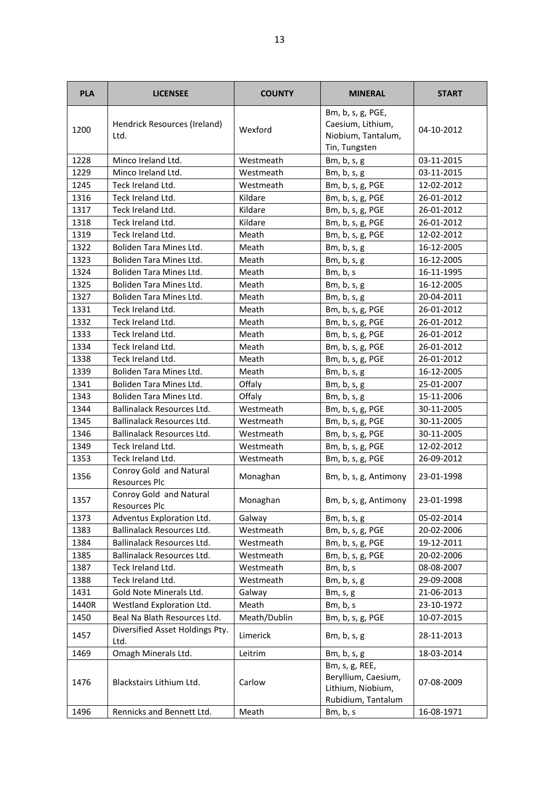| <b>PLA</b> | <b>LICENSEE</b>                                 | <b>COUNTY</b> | <b>MINERAL</b>                                                                   | <b>START</b> |
|------------|-------------------------------------------------|---------------|----------------------------------------------------------------------------------|--------------|
| 1200       | Hendrick Resources (Ireland)<br>Ltd.            | Wexford       | Bm, b, s, g, PGE,<br>Caesium, Lithium,<br>Niobium, Tantalum,<br>Tin, Tungsten    | 04-10-2012   |
| 1228       | Minco Ireland Ltd.                              | Westmeath     | Bm, b, s, g                                                                      | 03-11-2015   |
| 1229       | Minco Ireland Ltd.                              | Westmeath     | Bm, b, s, g                                                                      | 03-11-2015   |
| 1245       | Teck Ireland Ltd.                               | Westmeath     | Bm, b, s, g, PGE                                                                 | 12-02-2012   |
| 1316       | Teck Ireland Ltd.                               | Kildare       | Bm, b, s, g, PGE                                                                 | 26-01-2012   |
| 1317       | Teck Ireland Ltd.                               | Kildare       | Bm, b, s, g, PGE                                                                 | 26-01-2012   |
| 1318       | Teck Ireland Ltd.                               | Kildare       | Bm, b, s, g, PGE                                                                 | 26-01-2012   |
| 1319       | Teck Ireland Ltd.                               | Meath         | Bm, b, s, g, PGE                                                                 | 12-02-2012   |
| 1322       | Boliden Tara Mines Ltd.                         | Meath         | Bm, b, s, g                                                                      | 16-12-2005   |
| 1323       | Boliden Tara Mines Ltd.                         | Meath         | Bm, b, s, g                                                                      | 16-12-2005   |
| 1324       | Boliden Tara Mines Ltd.                         | Meath         | Bm, b, s                                                                         | 16-11-1995   |
| 1325       | Boliden Tara Mines Ltd.                         | Meath         | Bm, b, s, g                                                                      | 16-12-2005   |
| 1327       | Boliden Tara Mines Ltd.                         | Meath         | Bm, b, s, g                                                                      | 20-04-2011   |
| 1331       | Teck Ireland Ltd.                               | Meath         | Bm, b, s, g, PGE                                                                 | 26-01-2012   |
| 1332       | Teck Ireland Ltd.                               | Meath         | Bm, b, s, g, PGE                                                                 | 26-01-2012   |
| 1333       | Teck Ireland Ltd.                               | Meath         | Bm, b, s, g, PGE                                                                 | 26-01-2012   |
| 1334       | Teck Ireland Ltd.                               | Meath         | Bm, b, s, g, PGE                                                                 | 26-01-2012   |
| 1338       | Teck Ireland Ltd.                               | Meath         | Bm, b, s, g, PGE                                                                 | 26-01-2012   |
| 1339       | Boliden Tara Mines Ltd.                         | Meath         | Bm, b, s, g                                                                      | 16-12-2005   |
| 1341       | Boliden Tara Mines Ltd.                         | Offaly        | Bm, b, s, g                                                                      | 25-01-2007   |
| 1343       | Boliden Tara Mines Ltd.                         | Offaly        | Bm, b, s, g                                                                      | 15-11-2006   |
| 1344       | Ballinalack Resources Ltd.                      | Westmeath     | Bm, b, s, g, PGE                                                                 | 30-11-2005   |
| 1345       | Ballinalack Resources Ltd.                      | Westmeath     | Bm, b, s, g, PGE                                                                 | 30-11-2005   |
| 1346       | Ballinalack Resources Ltd.                      | Westmeath     | Bm, b, s, g, PGE                                                                 | 30-11-2005   |
| 1349       | Teck Ireland Ltd.                               | Westmeath     | Bm, b, s, g, PGE                                                                 | 12-02-2012   |
| 1353       | Teck Ireland Ltd.                               | Westmeath     | Bm, b, s, g, PGE                                                                 | 26-09-2012   |
| 1356       | Conroy Gold and Natural<br>Resources Plc        | Monaghan      | Bm, b, s, g, Antimony                                                            | 23-01-1998   |
| 1357       | Conroy Gold and Natural<br><b>Resources Plc</b> | Monaghan      | Bm, b, s, g, Antimony                                                            | 23-01-1998   |
| 1373       | Adventus Exploration Ltd.                       | Galway        | Bm, $b, s, g$                                                                    | 05-02-2014   |
| 1383       | Ballinalack Resources Ltd.                      | Westmeath     | Bm, b, s, g, PGE                                                                 | 20-02-2006   |
| 1384       | Ballinalack Resources Ltd.                      | Westmeath     | Bm, b, s, g, PGE                                                                 | 19-12-2011   |
| 1385       | Ballinalack Resources Ltd.                      | Westmeath     | Bm, b, s, g, PGE                                                                 | 20-02-2006   |
| 1387       | Teck Ireland Ltd.                               | Westmeath     | Bm, b, s                                                                         | 08-08-2007   |
| 1388       | Teck Ireland Ltd.                               | Westmeath     | Bm, b, s, g                                                                      | 29-09-2008   |
| 1431       | Gold Note Minerals Ltd.                         | Galway        | Bm, s, g                                                                         | 21-06-2013   |
| 1440R      | Westland Exploration Ltd.                       | Meath         | Bm, b, s                                                                         | 23-10-1972   |
| 1450       | Beal Na Blath Resources Ltd.                    | Meath/Dublin  | Bm, b, s, g, PGE                                                                 | 10-07-2015   |
| 1457       | Diversified Asset Holdings Pty.<br>Ltd.         | Limerick      | $Bm$ , b, s, g                                                                   | 28-11-2013   |
| 1469       | Omagh Minerals Ltd.                             | Leitrim       | Bm, b, s, g                                                                      | 18-03-2014   |
| 1476       | Blackstairs Lithium Ltd.                        | Carlow        | Bm, s, g, REE,<br>Beryllium, Caesium,<br>Lithium, Niobium,<br>Rubidium, Tantalum | 07-08-2009   |
| 1496       | Rennicks and Bennett Ltd.                       | Meath         | Bm, b, s                                                                         | 16-08-1971   |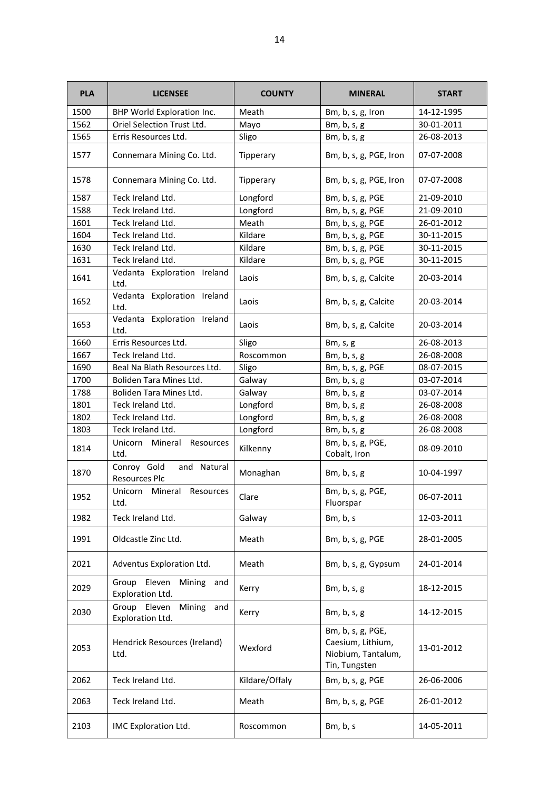| <b>PLA</b> | <b>LICENSEE</b>                                    | <b>COUNTY</b>    | <b>MINERAL</b>                                                                | <b>START</b> |
|------------|----------------------------------------------------|------------------|-------------------------------------------------------------------------------|--------------|
| 1500       | BHP World Exploration Inc.                         | Meath            | Bm, b, s, g, Iron                                                             | 14-12-1995   |
| 1562       | Oriel Selection Trust Ltd.                         | Mayo             | Bm, b, s, g                                                                   | 30-01-2011   |
| 1565       | Erris Resources Ltd.                               | Sligo            | Bm, b, s, g                                                                   | 26-08-2013   |
| 1577       | Connemara Mining Co. Ltd.                          | <b>Tipperary</b> | Bm, b, s, g, PGE, Iron                                                        | 07-07-2008   |
| 1578       | Connemara Mining Co. Ltd.                          | Tipperary        | Bm, b, s, g, PGE, Iron                                                        | 07-07-2008   |
| 1587       | Teck Ireland Ltd.                                  | Longford         | Bm, b, s, g, PGE                                                              | 21-09-2010   |
| 1588       | Teck Ireland Ltd.                                  | Longford         | Bm, b, s, g, PGE                                                              | 21-09-2010   |
| 1601       | Teck Ireland Ltd.                                  | Meath            | Bm, b, s, g, PGE                                                              | 26-01-2012   |
| 1604       | Teck Ireland Ltd.                                  | Kildare          | Bm, b, s, g, PGE                                                              | 30-11-2015   |
| 1630       | Teck Ireland Ltd.                                  | Kildare          | Bm, b, s, g, PGE                                                              | 30-11-2015   |
| 1631       | Teck Ireland Ltd.                                  | Kildare          | Bm, b, s, g, PGE                                                              | 30-11-2015   |
| 1641       | Vedanta Exploration Ireland<br>Ltd.                | Laois            | Bm, b, s, g, Calcite                                                          | 20-03-2014   |
| 1652       | Vedanta Exploration Ireland<br>Ltd.                | Laois            | Bm, b, s, g, Calcite                                                          | 20-03-2014   |
| 1653       | Vedanta Exploration Ireland<br>Ltd.                | Laois            | Bm, b, s, g, Calcite                                                          | 20-03-2014   |
| 1660       | Erris Resources Ltd.                               | Sligo            | Bm, s, g                                                                      | 26-08-2013   |
| 1667       | Teck Ireland Ltd.                                  | Roscommon        | Bm, b, s, g                                                                   | 26-08-2008   |
| 1690       | Beal Na Blath Resources Ltd.                       | Sligo            | Bm, b, s, g, PGE                                                              | 08-07-2015   |
| 1700       | Boliden Tara Mines Ltd.                            | Galway           | Bm, b, s, g                                                                   | 03-07-2014   |
| 1788       | Boliden Tara Mines Ltd.                            | Galway           | Bm, b, s, g                                                                   | 03-07-2014   |
| 1801       | Teck Ireland Ltd.                                  | Longford         | Bm, b, s, g                                                                   | 26-08-2008   |
| 1802       | Teck Ireland Ltd.                                  | Longford         | Bm, b, s, g                                                                   | 26-08-2008   |
| 1803       | Teck Ireland Ltd.                                  | Longford         | Bm, b, s, g                                                                   | 26-08-2008   |
| 1814       | Unicorn Mineral<br>Resources<br>Ltd.               | Kilkenny         | Bm, b, s, g, PGE,<br>Cobalt, Iron                                             | 08-09-2010   |
| 1870       | Conroy Gold<br>and Natural<br><b>Resources Plc</b> | Monaghan         | Bm, b, s, g                                                                   | 10-04-1997   |
| 1952       | Unicorn Mineral Resources<br>Ltd.                  | Clare            | Bm, b, s, g, PGE,<br>Fluorspar                                                | 06-07-2011   |
| 1982       | Teck Ireland Ltd.                                  | Galway           | Bm, b, s                                                                      | 12-03-2011   |
| 1991       | Oldcastle Zinc Ltd.                                | Meath            | Bm, b, s, g, PGE                                                              | 28-01-2005   |
| 2021       | Adventus Exploration Ltd.                          | Meath            | Bm, b, s, g, Gypsum                                                           | 24-01-2014   |
| 2029       | Group Eleven<br>Mining and<br>Exploration Ltd.     | Kerry            | Bm, b, s, g                                                                   | 18-12-2015   |
| 2030       | Group Eleven<br>Mining and<br>Exploration Ltd.     | Kerry            | Bm, b, s, g                                                                   | 14-12-2015   |
| 2053       | Hendrick Resources (Ireland)<br>Ltd.               | Wexford          | Bm, b, s, g, PGE,<br>Caesium, Lithium,<br>Niobium, Tantalum,<br>Tin, Tungsten | 13-01-2012   |
| 2062       | Teck Ireland Ltd.                                  | Kildare/Offaly   | Bm, b, s, g, PGE                                                              | 26-06-2006   |
| 2063       | Teck Ireland Ltd.                                  | Meath            | Bm, b, s, g, PGE                                                              | 26-01-2012   |
| 2103       | IMC Exploration Ltd.                               | Roscommon        | Bm, b, s                                                                      | 14-05-2011   |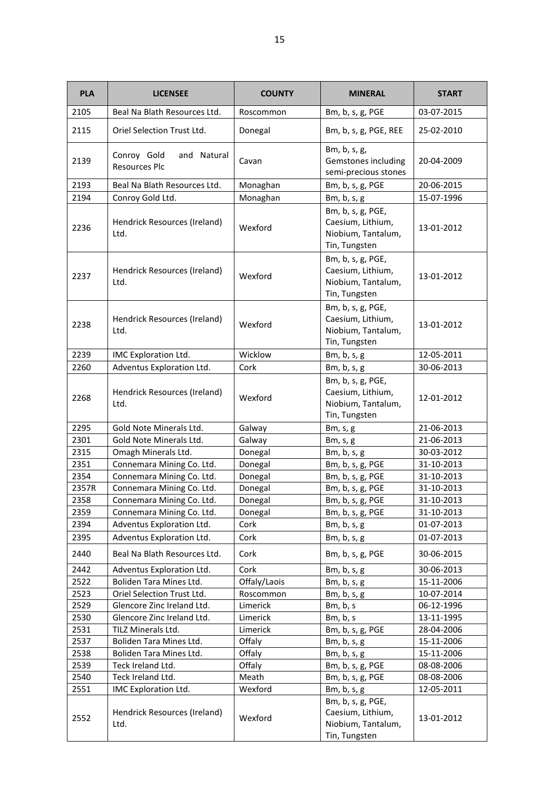| <b>PLA</b> | <b>LICENSEE</b>                                    | <b>COUNTY</b> | <b>MINERAL</b>                                                                | <b>START</b> |
|------------|----------------------------------------------------|---------------|-------------------------------------------------------------------------------|--------------|
| 2105       | Beal Na Blath Resources Ltd.                       | Roscommon     | Bm, b, s, g, PGE                                                              | 03-07-2015   |
| 2115       | Oriel Selection Trust Ltd.                         | Donegal       | Bm, b, s, g, PGE, REE                                                         | 25-02-2010   |
| 2139       | Conroy Gold<br>and Natural<br><b>Resources Plc</b> | Cavan         | Bm, b, s, g,<br>Gemstones including<br>semi-precious stones                   | 20-04-2009   |
| 2193       | Beal Na Blath Resources Ltd.                       | Monaghan      | Bm, b, s, g, PGE                                                              | 20-06-2015   |
| 2194       | Conroy Gold Ltd.                                   | Monaghan      | Bm, b, s, g                                                                   | 15-07-1996   |
| 2236       | Hendrick Resources (Ireland)<br>Ltd.               | Wexford       | Bm, b, s, g, PGE,<br>Caesium, Lithium,<br>Niobium, Tantalum,<br>Tin, Tungsten | 13-01-2012   |
| 2237       | Hendrick Resources (Ireland)<br>Ltd.               | Wexford       | Bm, b, s, g, PGE,<br>Caesium, Lithium,<br>Niobium, Tantalum,<br>Tin, Tungsten | 13-01-2012   |
| 2238       | Hendrick Resources (Ireland)<br>Ltd.               | Wexford       | Bm, b, s, g, PGE,<br>Caesium, Lithium,<br>Niobium, Tantalum,<br>Tin, Tungsten | 13-01-2012   |
| 2239       | IMC Exploration Ltd.                               | Wicklow       | Bm, b, s, g                                                                   | 12-05-2011   |
| 2260       | Adventus Exploration Ltd.                          | Cork          | Bm, b, s, g                                                                   | 30-06-2013   |
| 2268       | Hendrick Resources (Ireland)<br>Ltd.               | Wexford       | Bm, b, s, g, PGE,<br>Caesium, Lithium,<br>Niobium, Tantalum,<br>Tin, Tungsten | 12-01-2012   |
| 2295       | Gold Note Minerals Ltd.                            | Galway        | Bm, s, g                                                                      | 21-06-2013   |
| 2301       | Gold Note Minerals Ltd.                            | Galway        | Bm, s, g                                                                      | 21-06-2013   |
| 2315       | Omagh Minerals Ltd.                                | Donegal       | $Bm$ , b, s, g                                                                | 30-03-2012   |
| 2351       | Connemara Mining Co. Ltd.                          | Donegal       | Bm, b, s, g, PGE                                                              | 31-10-2013   |
| 2354       | Connemara Mining Co. Ltd.                          | Donegal       | Bm, b, s, g, PGE                                                              | 31-10-2013   |
| 2357R      | Connemara Mining Co. Ltd.                          | Donegal       | Bm, b, s, g, PGE                                                              | 31-10-2013   |
| 2358       | Connemara Mining Co. Ltd.                          | Donegal       | Bm, b, s, g, PGE                                                              | 31-10-2013   |
| 2359       | Connemara Mining Co. Ltd.                          | Donegal       | Bm, b, s, g, PGE                                                              | 31-10-2013   |
| 2394       | Adventus Exploration Ltd.                          | Cork          | Bm, b, s, g                                                                   | 01-07-2013   |
| 2395       | Adventus Exploration Ltd.                          | Cork          | Bm, $b, s, g$                                                                 | 01-07-2013   |
| 2440       | Beal Na Blath Resources Ltd.                       | Cork          | Bm, b, s, g, PGE                                                              | 30-06-2015   |
| 2442       | Adventus Exploration Ltd.                          | Cork          | Bm, $b, s, g$                                                                 | 30-06-2013   |
| 2522       | Boliden Tara Mines Ltd.                            | Offaly/Laois  | Bm, b, s, g                                                                   | 15-11-2006   |
| 2523       | Oriel Selection Trust Ltd.                         | Roscommon     | Bm, b, s, g                                                                   | 10-07-2014   |
| 2529       | Glencore Zinc Ireland Ltd.                         | Limerick      | Bm, b, s                                                                      | 06-12-1996   |
| 2530       | Glencore Zinc Ireland Ltd.                         | Limerick      | Bm, b, s                                                                      | 13-11-1995   |
| 2531       | TILZ Minerals Ltd.                                 | Limerick      | Bm, b, s, g, PGE                                                              | 28-04-2006   |
| 2537       | Boliden Tara Mines Ltd.                            | Offaly        | $Bm$ , b, s, g                                                                | 15-11-2006   |
| 2538       | Boliden Tara Mines Ltd.                            | Offaly        | Bm, b, s, g                                                                   | 15-11-2006   |
| 2539       | Teck Ireland Ltd.                                  | Offaly        | Bm, b, s, g, PGE                                                              | 08-08-2006   |
| 2540       | Teck Ireland Ltd.                                  | Meath         | Bm, b, s, g, PGE                                                              | 08-08-2006   |
| 2551       | IMC Exploration Ltd.                               | Wexford       | Bm, b, s, g                                                                   | 12-05-2011   |
| 2552       | Hendrick Resources (Ireland)<br>Ltd.               | Wexford       | Bm, b, s, g, PGE,<br>Caesium, Lithium,<br>Niobium, Tantalum,<br>Tin, Tungsten | 13-01-2012   |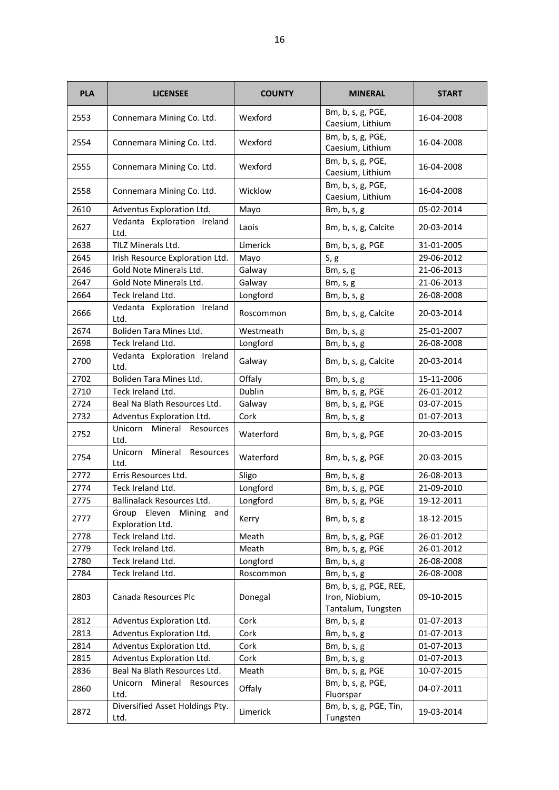| <b>PLA</b> | <b>LICENSEE</b>                             | <b>COUNTY</b> | <b>MINERAL</b>                                                 | <b>START</b> |
|------------|---------------------------------------------|---------------|----------------------------------------------------------------|--------------|
| 2553       | Connemara Mining Co. Ltd.                   | Wexford       | Bm, b, s, g, PGE,<br>Caesium, Lithium                          | 16-04-2008   |
| 2554       | Connemara Mining Co. Ltd.                   | Wexford       | Bm, b, s, g, PGE,<br>Caesium, Lithium                          | 16-04-2008   |
| 2555       | Connemara Mining Co. Ltd.                   | Wexford       | Bm, b, s, g, PGE,<br>Caesium, Lithium                          | 16-04-2008   |
| 2558       | Connemara Mining Co. Ltd.                   | Wicklow       | Bm, b, s, g, PGE,<br>Caesium, Lithium                          | 16-04-2008   |
| 2610       | Adventus Exploration Ltd.                   | Mayo          | Bm, b, s, g                                                    | 05-02-2014   |
| 2627       | Vedanta Exploration Ireland<br>Ltd.         | Laois         | Bm, b, s, g, Calcite                                           | 20-03-2014   |
| 2638       | TILZ Minerals Ltd.                          | Limerick      | Bm, b, s, g, PGE                                               | 31-01-2005   |
| 2645       | Irish Resource Exploration Ltd.             | Mayo          | S, g                                                           | 29-06-2012   |
| 2646       | Gold Note Minerals Ltd.                     | Galway        | Bm, s, g                                                       | 21-06-2013   |
| 2647       | Gold Note Minerals Ltd.                     | Galway        | Bm, s, g                                                       | 21-06-2013   |
| 2664       | Teck Ireland Ltd.                           | Longford      | Bm, b, s, g                                                    | 26-08-2008   |
| 2666       | Vedanta Exploration Ireland<br>Ltd.         | Roscommon     | Bm, b, s, g, Calcite                                           | 20-03-2014   |
| 2674       | Boliden Tara Mines Ltd.                     | Westmeath     | Bm, b, s, g                                                    | 25-01-2007   |
| 2698       | Teck Ireland Ltd.                           | Longford      | Bm, b, s, g                                                    | 26-08-2008   |
| 2700       | Vedanta Exploration Ireland<br>Ltd.         | Galway        | Bm, b, s, g, Calcite                                           | 20-03-2014   |
| 2702       | Boliden Tara Mines Ltd.                     | Offaly        | Bm, b, s, g                                                    | 15-11-2006   |
| 2710       | Teck Ireland Ltd.                           | Dublin        | Bm, b, s, g, PGE                                               | 26-01-2012   |
| 2724       | Beal Na Blath Resources Ltd.                | Galway        | Bm, b, s, g, PGE                                               | 03-07-2015   |
| 2732       | Adventus Exploration Ltd.                   | Cork          | Bm, b, s, g                                                    | 01-07-2013   |
| 2752       | Unicorn Mineral<br>Resources<br>Ltd.        | Waterford     | Bm, b, s, g, PGE                                               | 20-03-2015   |
| 2754       | Unicorn<br>Mineral<br>Resources<br>Ltd.     | Waterford     | Bm, b, s, g, PGE                                               | 20-03-2015   |
| 2772       | Erris Resources Ltd.                        | Sligo         | $Bm$ , b, s, g                                                 | 26-08-2013   |
| 2774       | Teck Ireland Ltd.                           | Longford      | Bm, b, s, g, PGE                                               | 21-09-2010   |
| 2775       | Ballinalack Resources Ltd.                  | Longford      | Bm, b, s, g, PGE                                               | 19-12-2011   |
| 2777       | Group Eleven Mining and<br>Exploration Ltd. | Kerry         | Bm, b, s, g                                                    | 18-12-2015   |
| 2778       | Teck Ireland Ltd.                           | Meath         | Bm, b, s, g, PGE                                               | 26-01-2012   |
| 2779       | Teck Ireland Ltd.                           | Meath         | Bm, b, s, g, PGE                                               | 26-01-2012   |
| 2780       | Teck Ireland Ltd.                           | Longford      | Bm, $b$ , $s$ , $g$                                            | 26-08-2008   |
| 2784       | Teck Ireland Ltd.                           | Roscommon     | Bm, b, s, g                                                    | 26-08-2008   |
| 2803       | Canada Resources Plc                        | Donegal       | Bm, b, s, g, PGE, REE,<br>Iron, Niobium,<br>Tantalum, Tungsten | 09-10-2015   |
| 2812       | Adventus Exploration Ltd.                   | Cork          | Bm, $b, s, g$                                                  | 01-07-2013   |
| 2813       | Adventus Exploration Ltd.                   | Cork          | $Bm$ , b, s, g                                                 | 01-07-2013   |
| 2814       | Adventus Exploration Ltd.                   | Cork          | Bm, b, s, g                                                    | 01-07-2013   |
| 2815       | Adventus Exploration Ltd.                   | Cork          | Bm, $b$ , $s$ , $g$                                            | 01-07-2013   |
| 2836       | Beal Na Blath Resources Ltd.                | Meath         | Bm, b, s, g, PGE                                               | 10-07-2015   |
| 2860       | Unicorn Mineral<br>Resources<br>Ltd.        | Offaly        | Bm, b, s, g, PGE,<br>Fluorspar                                 | 04-07-2011   |
| 2872       | Diversified Asset Holdings Pty.<br>Ltd.     | Limerick      | Bm, b, s, g, PGE, Tin,<br>Tungsten                             | 19-03-2014   |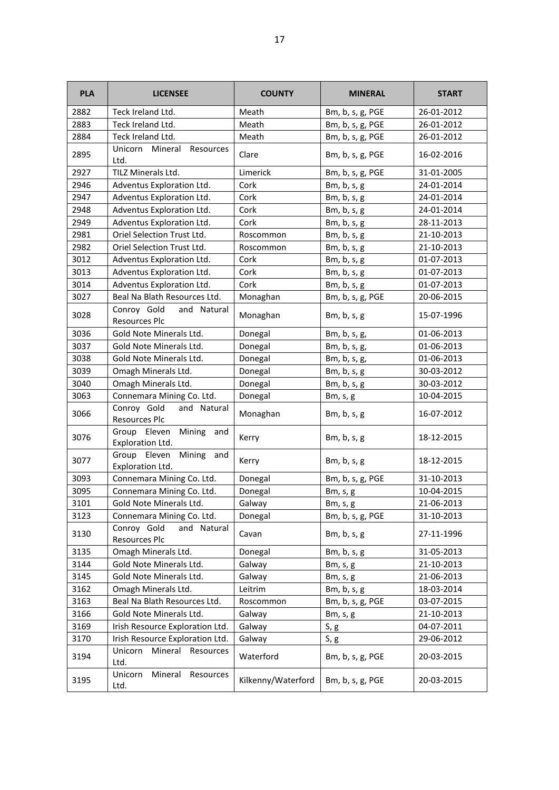| <b>PLA</b> | <b>LICENSEE</b>                                   | <b>COUNTY</b>      | <b>MINERAL</b>      | <b>START</b> |
|------------|---------------------------------------------------|--------------------|---------------------|--------------|
| 2882       | Teck Ireland Ltd.                                 | Meath              | Bm, b, s, g, PGE    | 26-01-2012   |
| 2883       | Teck Ireland Ltd.                                 | Meath              | Bm, b, s, g, PGE    | 26-01-2012   |
| 2884       | Teck Ireland Ltd.                                 | Meath              | Bm, b, s, g, PGE    | 26-01-2012   |
| 2895       | Unicorn Mineral<br>Resources<br>Ltd.              | Clare              | Bm, b, s, g, PGE    | 16-02-2016   |
| 2927       | <b>TILZ Minerals Ltd.</b>                         | Limerick           | Bm, b, s, g, PGE    | 31-01-2005   |
| 2946       | Adventus Exploration Ltd.                         | Cork               | Bm, b, s, g         | 24-01-2014   |
| 2947       | Adventus Exploration Ltd.                         | Cork               | Bm, b, s, g         | 24-01-2014   |
| 2948       | Adventus Exploration Ltd.                         | Cork               | Bm, b, s, g         | 24-01-2014   |
| 2949       | Adventus Exploration Ltd.                         | Cork               | Bm, b, s, g         | 28-11-2013   |
| 2981       | Oriel Selection Trust Ltd.                        | Roscommon          | Bm, b, s, g         | 21-10-2013   |
| 2982       | Oriel Selection Trust Ltd.                        | Roscommon          | Bm, b, s, g         | 21-10-2013   |
| 3012       | Adventus Exploration Ltd.                         | Cork               | Bm, b, s, g         | 01-07-2013   |
| 3013       | Adventus Exploration Ltd.                         | Cork               | Bm, $b$ , $s$ , $g$ | 01-07-2013   |
| 3014       | Adventus Exploration Ltd.                         | Cork               | Bm, b, s, g         | 01-07-2013   |
| 3027       | Beal Na Blath Resources Ltd.                      | Monaghan           | Bm, b, s, g, PGE    | 20-06-2015   |
| 3028       | Conroy Gold<br>and Natural<br>Resources Plc       | Monaghan           | Bm, b, s, g         | 15-07-1996   |
| 3036       | Gold Note Minerals Ltd.                           | Donegal            | Bm, b, s, g,        | 01-06-2013   |
| 3037       | Gold Note Minerals Ltd.                           | Donegal            | Bm, b, s, g,        | 01-06-2013   |
| 3038       | Gold Note Minerals Ltd.                           | Donegal            | Bm, b, s, g,        | 01-06-2013   |
| 3039       | Omagh Minerals Ltd.                               | Donegal            | Bm, b, s, g         | 30-03-2012   |
| 3040       | Omagh Minerals Ltd.                               | Donegal            | Bm, b, s, g         | 30-03-2012   |
| 3063       | Connemara Mining Co. Ltd.                         | Donegal            | Bm, s, g            | 10-04-2015   |
| 3066       | Conroy Gold<br>and Natural<br>Resources Plc       | Monaghan           | Bm, b, s, g         | 16-07-2012   |
| 3076       | Group Eleven<br>Mining and<br>Exploration Ltd.    | Kerry              | Bm, b, s, g         | 18-12-2015   |
| 3077       | Group Eleven<br>Mining<br>and<br>Exploration Ltd. | Kerry              | Bm, b, s, g         | 18-12-2015   |
| 3093       | Connemara Mining Co. Ltd.                         | Donegal            | Bm, b, s, g, PGE    | 31-10-2013   |
| 3095       | Connemara Mining Co. Ltd.                         | Donegal            | Bm, s, g            | 10-04-2015   |
| 3101       | Gold Note Minerals Ltd.                           | Galway             | Bm, s, g            | 21-06-2013   |
| 3123       | Connemara Mining Co. Ltd.                         | Donegal            | Bm, b, s, g, PGE    | 31-10-2013   |
| 3130       | Conroy Gold<br>and Natural<br>Resources Plc       | Cavan              | $Bm$ , b, s, g      | 27-11-1996   |
| 3135       | Omagh Minerals Ltd.                               | Donegal            | Bm, b, s, g         | 31-05-2013   |
| 3144       | Gold Note Minerals Ltd.                           | Galway             | Bm, s, g            | 21-10-2013   |
| 3145       | Gold Note Minerals Ltd.                           | Galway             | Bm, s, g            | 21-06-2013   |
| 3162       | Omagh Minerals Ltd.                               | Leitrim            | Bm, b, s, g         | 18-03-2014   |
| 3163       | Beal Na Blath Resources Ltd.                      | Roscommon          | Bm, b, s, g, PGE    | 03-07-2015   |
| 3166       | Gold Note Minerals Ltd.                           | Galway             | Bm, s, g            | 21-10-2013   |
| 3169       | Irish Resource Exploration Ltd.                   | Galway             | S, g                | 04-07-2011   |
| 3170       | Irish Resource Exploration Ltd.                   | Galway             | S, g                | 29-06-2012   |
| 3194       | Mineral<br>Unicorn<br>Resources<br>Ltd.           | Waterford          | Bm, b, s, g, PGE    | 20-03-2015   |
| 3195       | Unicorn<br>Mineral<br>Resources<br>Ltd.           | Kilkenny/Waterford | Bm, b, s, g, PGE    | 20-03-2015   |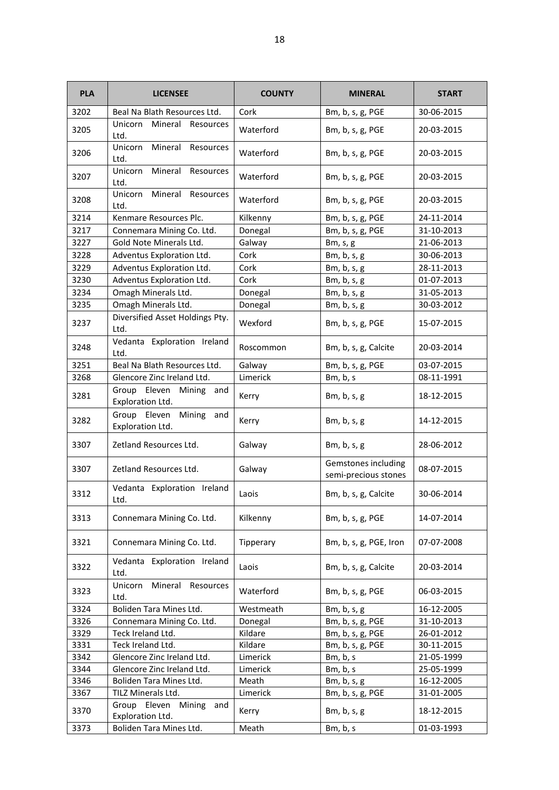| <b>PLA</b> | <b>LICENSEE</b>                                   | <b>COUNTY</b> | <b>MINERAL</b>                              | <b>START</b> |
|------------|---------------------------------------------------|---------------|---------------------------------------------|--------------|
| 3202       | Beal Na Blath Resources Ltd.                      | Cork          | Bm, b, s, g, PGE                            | 30-06-2015   |
| 3205       | Unicorn<br>Mineral<br>Resources<br>Ltd.           | Waterford     | Bm, b, s, g, PGE                            | 20-03-2015   |
| 3206       | Mineral<br>Unicorn<br>Resources<br>Ltd.           | Waterford     | Bm, b, s, g, PGE                            | 20-03-2015   |
| 3207       | Unicorn<br>Mineral<br>Resources<br>Ltd.           | Waterford     | Bm, b, s, g, PGE                            | 20-03-2015   |
| 3208       | Mineral<br>Resources<br><b>Unicorn</b><br>Ltd.    | Waterford     | Bm, b, s, g, PGE                            | 20-03-2015   |
| 3214       | Kenmare Resources Plc.                            | Kilkenny      | Bm, b, s, g, PGE                            | 24-11-2014   |
| 3217       | Connemara Mining Co. Ltd.                         | Donegal       | Bm, b, s, g, PGE                            | 31-10-2013   |
| 3227       | Gold Note Minerals Ltd.                           | Galway        | Bm, s, g                                    | 21-06-2013   |
| 3228       | Adventus Exploration Ltd.                         | Cork          | Bm, b, s, g                                 | 30-06-2013   |
| 3229       | Adventus Exploration Ltd.                         | Cork          | Bm, b, s, g                                 | 28-11-2013   |
| 3230       | Adventus Exploration Ltd.                         | Cork          | Bm, b, s, g                                 | 01-07-2013   |
| 3234       | Omagh Minerals Ltd.                               | Donegal       | Bm, b, s, g                                 | 31-05-2013   |
| 3235       | Omagh Minerals Ltd.                               | Donegal       | Bm, b, s, g                                 | 30-03-2012   |
| 3237       | Diversified Asset Holdings Pty.<br>Ltd.           | Wexford       | Bm, b, s, g, PGE                            | 15-07-2015   |
| 3248       | Vedanta Exploration Ireland<br>Ltd.               | Roscommon     | Bm, b, s, g, Calcite                        | 20-03-2014   |
| 3251       | Beal Na Blath Resources Ltd.                      | Galway        | Bm, b, s, g, PGE                            | 03-07-2015   |
| 3268       | Glencore Zinc Ireland Ltd.                        | Limerick      | Bm, b, s                                    | 08-11-1991   |
| 3281       | Group Eleven<br>Mining<br>and<br>Exploration Ltd. | Kerry         | Bm, b, s, g                                 | 18-12-2015   |
| 3282       | Group Eleven<br>Mining<br>and<br>Exploration Ltd. | Kerry         | Bm, b, s, g                                 | 14-12-2015   |
| 3307       | Zetland Resources Ltd.                            | Galway        | Bm, b, s, g                                 | 28-06-2012   |
| 3307       | Zetland Resources Ltd.                            | Galway        | Gemstones including<br>semi-precious stones | 08-07-2015   |
| 3312       | Vedanta Exploration Ireland<br>Ltd.               | Laois         | Bm, b, s, g, Calcite                        | 30-06-2014   |
| 3313       | Connemara Mining Co. Ltd.                         | Kilkenny      | Bm, b, s, g, PGE                            | 14-07-2014   |
| 3321       | Connemara Mining Co. Ltd.                         | Tipperary     | Bm, b, s, g, PGE, Iron                      | 07-07-2008   |
| 3322       | Vedanta Exploration Ireland<br>Ltd.               | Laois         | Bm, b, s, g, Calcite                        | 20-03-2014   |
| 3323       | Unicorn<br>Mineral Resources<br>Ltd.              | Waterford     | Bm, b, s, g, PGE                            | 06-03-2015   |
| 3324       | Boliden Tara Mines Ltd.                           | Westmeath     | Bm, b, s, g                                 | 16-12-2005   |
| 3326       | Connemara Mining Co. Ltd.                         | Donegal       | Bm, b, s, g, PGE                            | 31-10-2013   |
| 3329       | Teck Ireland Ltd.                                 | Kildare       | Bm, b, s, g, PGE                            | 26-01-2012   |
| 3331       | Teck Ireland Ltd.                                 | Kildare       | Bm, b, s, g, PGE                            | 30-11-2015   |
| 3342       | Glencore Zinc Ireland Ltd.                        | Limerick      | Bm, b, s                                    | 21-05-1999   |
| 3344       | Glencore Zinc Ireland Ltd.                        | Limerick      | Bm, b, s                                    | 25-05-1999   |
| 3346       | Boliden Tara Mines Ltd.                           | Meath         | Bm, b, s, g                                 | 16-12-2005   |
| 3367       | TILZ Minerals Ltd.                                | Limerick      | Bm, b, s, g, PGE                            | 31-01-2005   |
| 3370       | Group Eleven Mining<br>and<br>Exploration Ltd.    | Kerry         | Bm, b, s, g                                 | 18-12-2015   |
| 3373       | Boliden Tara Mines Ltd.                           | Meath         | Bm, b, s                                    | 01-03-1993   |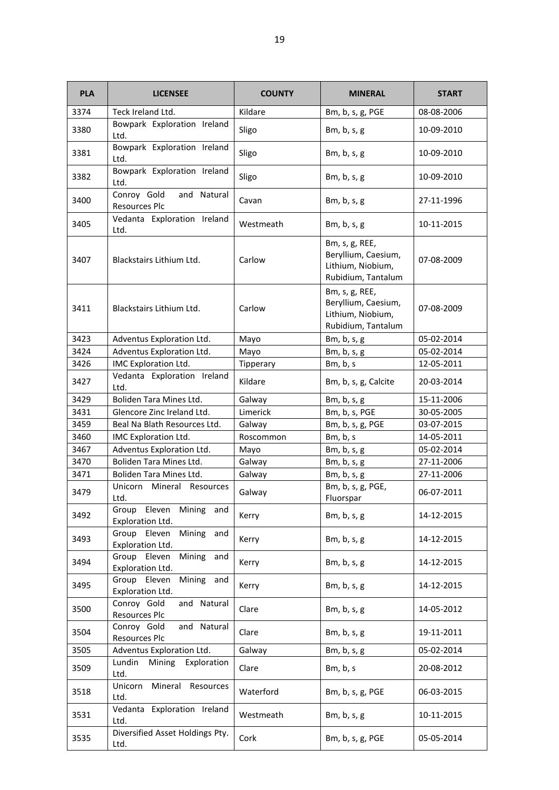| <b>PLA</b> | <b>LICENSEE</b>                                    | <b>COUNTY</b> | <b>MINERAL</b>                                                                   | <b>START</b> |
|------------|----------------------------------------------------|---------------|----------------------------------------------------------------------------------|--------------|
| 3374       | Teck Ireland Ltd.                                  | Kildare       | Bm, b, s, g, PGE                                                                 | 08-08-2006   |
| 3380       | Bowpark Exploration Ireland<br>Ltd.                | Sligo         | Bm, b, s, g                                                                      | 10-09-2010   |
| 3381       | Bowpark Exploration Ireland<br>Ltd.                | Sligo         | Bm, b, s, g                                                                      | 10-09-2010   |
| 3382       | Bowpark Exploration Ireland<br>Ltd.                | Sligo         | Bm, b, s, g                                                                      | 10-09-2010   |
| 3400       | Conroy Gold<br>and Natural<br><b>Resources Plc</b> | Cavan         | Bm, b, s, g                                                                      | 27-11-1996   |
| 3405       | Vedanta Exploration Ireland<br>Ltd.                | Westmeath     | $Bm$ , b, s, g                                                                   | 10-11-2015   |
| 3407       | <b>Blackstairs Lithium Ltd.</b>                    | Carlow        | Bm, s, g, REE,<br>Beryllium, Caesium,<br>Lithium, Niobium,<br>Rubidium, Tantalum | 07-08-2009   |
| 3411       | Blackstairs Lithium Ltd.                           | Carlow        | Bm, s, g, REE,<br>Beryllium, Caesium,<br>Lithium, Niobium,<br>Rubidium, Tantalum | 07-08-2009   |
| 3423       | Adventus Exploration Ltd.                          | Mayo          | Bm, b, s, g                                                                      | 05-02-2014   |
| 3424       | Adventus Exploration Ltd.                          | Mayo          | Bm, b, s, g                                                                      | 05-02-2014   |
| 3426       | IMC Exploration Ltd.                               | Tipperary     | Bm, b, s                                                                         | 12-05-2011   |
| 3427       | Vedanta Exploration Ireland<br>Ltd.                | Kildare       | Bm, b, s, g, Calcite                                                             | 20-03-2014   |
| 3429       | Boliden Tara Mines Ltd.                            | Galway        | Bm, b, s, g                                                                      | 15-11-2006   |
| 3431       | Glencore Zinc Ireland Ltd.                         | Limerick      | Bm, b, s, PGE                                                                    | 30-05-2005   |
| 3459       | Beal Na Blath Resources Ltd.                       | Galway        | Bm, b, s, g, PGE                                                                 | 03-07-2015   |
| 3460       | IMC Exploration Ltd.                               | Roscommon     | Bm, b, s                                                                         | 14-05-2011   |
| 3467       | Adventus Exploration Ltd.                          | Mayo          | Bm, b, s, g                                                                      | 05-02-2014   |
| 3470       | Boliden Tara Mines Ltd.                            | Galway        | Bm, b, s, g                                                                      | 27-11-2006   |
| 3471       | Boliden Tara Mines Ltd.                            | Galway        | Bm, b, s, g                                                                      | 27-11-2006   |
| 3479       | Unicorn Mineral Resources<br>Ltd.                  | Galway        | Bm, b, s, g, PGE,<br>Fluorspar                                                   | 06-07-2011   |
| 3492       | Group Eleven<br>Mining<br>and<br>Exploration Ltd.  | Kerry         | Bm, $b$ , $s$ , $g$                                                              | 14-12-2015   |
| 3493       | Group Eleven<br>Mining and<br>Exploration Ltd.     | Kerry         | Bm, b, s, g                                                                      | 14-12-2015   |
| 3494       | Group Eleven<br>Mining and<br>Exploration Ltd.     | Kerry         | Bm, $b$ , $s$ , $g$                                                              | 14-12-2015   |
| 3495       | Group Eleven<br>Mining and<br>Exploration Ltd.     | Kerry         | Bm, b, s, g                                                                      | 14-12-2015   |
| 3500       | Conroy Gold<br>and Natural<br>Resources Plc        | Clare         | Bm, b, s, g                                                                      | 14-05-2012   |
| 3504       | Conroy Gold<br>and Natural<br>Resources Plc        | Clare         | Bm, b, s, g                                                                      | 19-11-2011   |
| 3505       | Adventus Exploration Ltd.                          | Galway        | Bm, b, s, g                                                                      | 05-02-2014   |
| 3509       | Lundin<br>Exploration<br>Mining<br>Ltd.            | Clare         | Bm, b, s                                                                         | 20-08-2012   |
| 3518       | Unicorn Mineral Resources<br>Ltd.                  | Waterford     | Bm, b, s, g, PGE                                                                 | 06-03-2015   |
| 3531       | Vedanta Exploration Ireland<br>Ltd.                | Westmeath     | Bm, b, s, g                                                                      | 10-11-2015   |
| 3535       | Diversified Asset Holdings Pty.<br>Ltd.            | Cork          | Bm, b, s, g, PGE                                                                 | 05-05-2014   |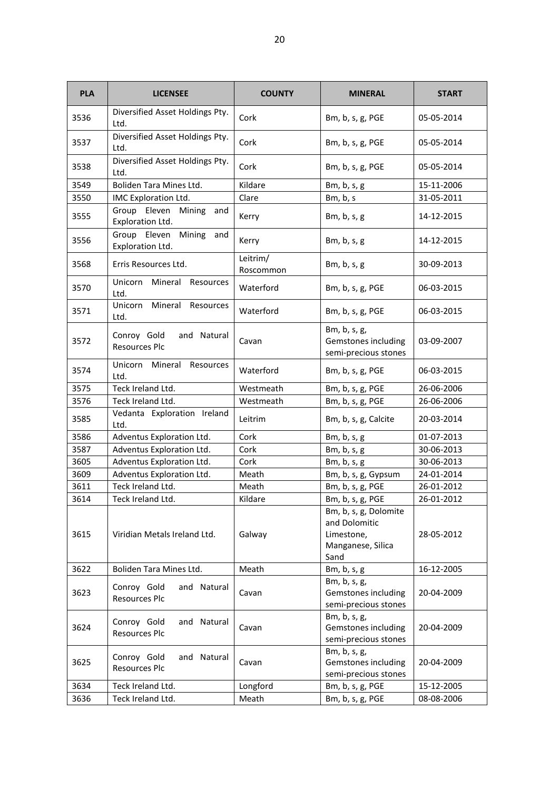| <b>PLA</b> | <b>LICENSEE</b>                                    | <b>COUNTY</b>         | <b>MINERAL</b>                                                                    | <b>START</b> |
|------------|----------------------------------------------------|-----------------------|-----------------------------------------------------------------------------------|--------------|
| 3536       | Diversified Asset Holdings Pty.<br>Ltd.            | Cork                  | Bm, b, s, g, PGE                                                                  | 05-05-2014   |
| 3537       | Diversified Asset Holdings Pty.<br>Ltd.            | Cork                  | Bm, b, s, g, PGE                                                                  | 05-05-2014   |
| 3538       | Diversified Asset Holdings Pty.<br>Ltd.            | Cork                  | Bm, b, s, g, PGE                                                                  | 05-05-2014   |
| 3549       | Boliden Tara Mines Ltd.                            | Kildare               | Bm, b, s, g                                                                       | 15-11-2006   |
| 3550       | IMC Exploration Ltd.                               | Clare                 | Bm, b, s                                                                          | 31-05-2011   |
| 3555       | Group Eleven<br>Mining and<br>Exploration Ltd.     | Kerry                 | Bm, b, s, g                                                                       | 14-12-2015   |
| 3556       | Group Eleven<br>Mining and<br>Exploration Ltd.     | Kerry                 | Bm, b, s, g                                                                       | 14-12-2015   |
| 3568       | Erris Resources Ltd.                               | Leitrim/<br>Roscommon | Bm, b, s, g                                                                       | 30-09-2013   |
| 3570       | Unicorn<br>Mineral<br>Resources<br>Ltd.            | Waterford             | Bm, b, s, g, PGE                                                                  | 06-03-2015   |
| 3571       | Unicorn<br>Mineral<br>Resources<br>Ltd.            | Waterford             | Bm, b, s, g, PGE                                                                  | 06-03-2015   |
| 3572       | Conroy Gold<br>and Natural<br><b>Resources Plc</b> | Cavan                 | Bm, b, s, g,<br>Gemstones including<br>semi-precious stones                       | 03-09-2007   |
| 3574       | Unicorn Mineral<br>Resources<br>Ltd.               | Waterford             | Bm, b, s, g, PGE                                                                  | 06-03-2015   |
| 3575       | Teck Ireland Ltd.                                  | Westmeath             | Bm, b, s, g, PGE                                                                  | 26-06-2006   |
| 3576       | Teck Ireland Ltd.                                  | Westmeath             | Bm, b, s, g, PGE                                                                  | 26-06-2006   |
| 3585       | Vedanta Exploration Ireland<br>Ltd.                | Leitrim               | Bm, b, s, g, Calcite                                                              | 20-03-2014   |
| 3586       | Adventus Exploration Ltd.                          | Cork                  | Bm, b, s, g                                                                       | 01-07-2013   |
| 3587       | Adventus Exploration Ltd.                          | Cork                  | Bm, b, s, g                                                                       | 30-06-2013   |
| 3605       | Adventus Exploration Ltd.                          | Cork                  | Bm, b, s, g                                                                       | 30-06-2013   |
| 3609       | Adventus Exploration Ltd.                          | Meath                 | Bm, b, s, g, Gypsum                                                               | 24-01-2014   |
| 3611       | Teck Ireland Ltd.                                  | Meath                 | Bm, b, s, g, PGE                                                                  | 26-01-2012   |
| 3614       | Teck Ireland Ltd.                                  | Kildare               | Bm, b, s, g, PGE                                                                  | 26-01-2012   |
| 3615       | Viridian Metals Ireland Ltd.                       | Galway                | Bm, b, s, g, Dolomite<br>and Dolomitic<br>Limestone,<br>Manganese, Silica<br>Sand | 28-05-2012   |
| 3622       | Boliden Tara Mines Ltd.                            | Meath                 | Bm, b, s, g                                                                       | 16-12-2005   |
| 3623       | Conroy Gold<br>and Natural<br><b>Resources Plc</b> | Cavan                 | Bm, b, s, g,<br>Gemstones including<br>semi-precious stones                       | 20-04-2009   |
| 3624       | Conroy Gold<br>and Natural<br>Resources Plc        | Cavan                 | Bm, b, s, g,<br>Gemstones including<br>semi-precious stones                       | 20-04-2009   |
| 3625       | Conroy Gold<br>and Natural<br>Resources Plc        | Cavan                 | Bm, b, s, g,<br>Gemstones including<br>semi-precious stones                       | 20-04-2009   |
| 3634       | Teck Ireland Ltd.                                  | Longford              | Bm, b, s, g, PGE                                                                  | 15-12-2005   |
| 3636       | Teck Ireland Ltd.                                  | Meath                 | Bm, b, s, g, PGE                                                                  | 08-08-2006   |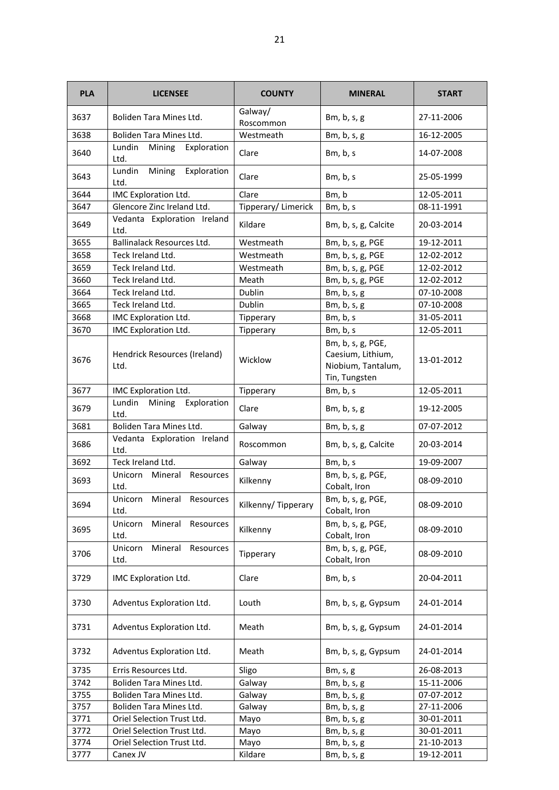| <b>PLA</b> | <b>LICENSEE</b>                         | <b>COUNTY</b>        | <b>MINERAL</b>                                                                | <b>START</b> |
|------------|-----------------------------------------|----------------------|-------------------------------------------------------------------------------|--------------|
| 3637       | Boliden Tara Mines Ltd.                 | Galway/<br>Roscommon | Bm, b, s, g                                                                   | 27-11-2006   |
| 3638       | Boliden Tara Mines Ltd.                 | Westmeath            | Bm, b, s, g                                                                   | 16-12-2005   |
| 3640       | Lundin<br>Mining Exploration<br>Ltd.    | Clare                | Bm, b, s                                                                      | 14-07-2008   |
| 3643       | Lundin<br>Mining Exploration<br>Ltd.    | Clare                | Bm, b, s                                                                      | 25-05-1999   |
| 3644       | IMC Exploration Ltd.                    | Clare                | Bm, b                                                                         | 12-05-2011   |
| 3647       | Glencore Zinc Ireland Ltd.              | Tipperary/Limerick   | Bm, b, s                                                                      | 08-11-1991   |
| 3649       | Vedanta Exploration Ireland<br>Ltd.     | Kildare              | Bm, b, s, g, Calcite                                                          | 20-03-2014   |
| 3655       | Ballinalack Resources Ltd.              | Westmeath            | Bm, b, s, g, PGE                                                              | 19-12-2011   |
| 3658       | Teck Ireland Ltd.                       | Westmeath            | Bm, b, s, g, PGE                                                              | 12-02-2012   |
| 3659       | Teck Ireland Ltd.                       | Westmeath            | Bm, b, s, g, PGE                                                              | 12-02-2012   |
| 3660       | Teck Ireland Ltd.                       | Meath                | Bm, b, s, g, PGE                                                              | 12-02-2012   |
| 3664       | Teck Ireland Ltd.                       | Dublin               | Bm, b, s, g                                                                   | 07-10-2008   |
| 3665       | Teck Ireland Ltd.                       | Dublin               | Bm, b, s, g                                                                   | 07-10-2008   |
| 3668       | IMC Exploration Ltd.                    | Tipperary            | Bm, b, s                                                                      | 31-05-2011   |
| 3670       | IMC Exploration Ltd.                    | <b>Tipperary</b>     | Bm, b, s                                                                      | 12-05-2011   |
| 3676       | Hendrick Resources (Ireland)<br>Ltd.    | Wicklow              | Bm, b, s, g, PGE,<br>Caesium, Lithium,<br>Niobium, Tantalum,<br>Tin, Tungsten | 13-01-2012   |
| 3677       | IMC Exploration Ltd.                    | <b>Tipperary</b>     | Bm, b, s                                                                      | 12-05-2011   |
| 3679       | Exploration<br>Lundin<br>Mining<br>Ltd. | Clare                | Bm, b, s, g                                                                   | 19-12-2005   |
| 3681       | Boliden Tara Mines Ltd.                 | Galway               | Bm, b, s, g                                                                   | 07-07-2012   |
| 3686       | Vedanta Exploration Ireland<br>Ltd.     | Roscommon            | Bm, b, s, g, Calcite                                                          | 20-03-2014   |
| 3692       | Teck Ireland Ltd.                       | Galway               | Bm, b, s                                                                      | 19-09-2007   |
| 3693       | Unicorn Mineral<br>Resources<br>Ltd.    | Kilkenny             | Bm, b, s, g, PGE,<br>Cobalt, Iron                                             | 08-09-2010   |
| 3694       | Unicorn Mineral Resources<br>Ltd.       | Kilkenny/Tipperary   | Bm, b, s, g, PGE,<br>Cobalt, Iron                                             | 08-09-2010   |
| 3695       | Unicorn<br>Mineral<br>Resources<br>Ltd. | Kilkenny             | Bm, b, s, g, PGE,<br>Cobalt, Iron                                             | 08-09-2010   |
| 3706       | Unicorn<br>Mineral<br>Resources<br>Ltd. | Tipperary            | Bm, b, s, g, PGE,<br>Cobalt, Iron                                             | 08-09-2010   |
| 3729       | IMC Exploration Ltd.                    | Clare                | Bm, b, s                                                                      | 20-04-2011   |
| 3730       | Adventus Exploration Ltd.               | Louth                | Bm, b, s, g, Gypsum                                                           | 24-01-2014   |
| 3731       | Adventus Exploration Ltd.               | Meath                | Bm, b, s, g, Gypsum                                                           | 24-01-2014   |
| 3732       | Adventus Exploration Ltd.               | Meath                | Bm, b, s, g, Gypsum                                                           | 24-01-2014   |
| 3735       | Erris Resources Ltd.                    | Sligo                | Bm, s, g                                                                      | 26-08-2013   |
| 3742       | Boliden Tara Mines Ltd.                 | Galway               | Bm, b, s, g                                                                   | 15-11-2006   |
| 3755       | Boliden Tara Mines Ltd.                 | Galway               | Bm, b, s, g                                                                   | 07-07-2012   |
| 3757       | Boliden Tara Mines Ltd.                 | Galway               | Bm, $b$ , $s$ , $g$                                                           | 27-11-2006   |
| 3771       | Oriel Selection Trust Ltd.              | Mayo                 | Bm, b, s, g                                                                   | 30-01-2011   |
| 3772       | Oriel Selection Trust Ltd.              | Mayo                 | Bm, b, s, g                                                                   | 30-01-2011   |
| 3774       | Oriel Selection Trust Ltd.              | Mayo                 | Bm, b, s, g                                                                   | 21-10-2013   |
| 3777       | Canex JV                                | Kildare              | Bm, b, s, g                                                                   | 19-12-2011   |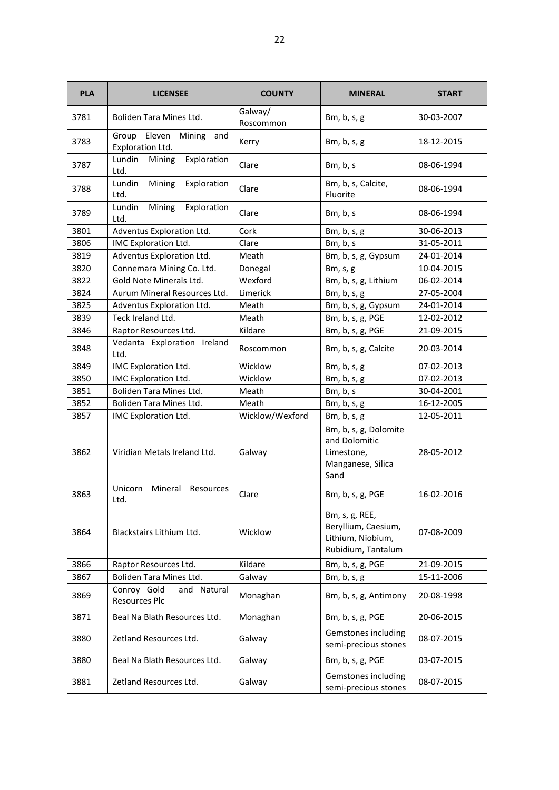| <b>PLA</b> | <b>LICENSEE</b>                                   | <b>COUNTY</b>        | <b>MINERAL</b>                                                                    | <b>START</b> |
|------------|---------------------------------------------------|----------------------|-----------------------------------------------------------------------------------|--------------|
| 3781       | Boliden Tara Mines Ltd.                           | Galway/<br>Roscommon | Bm, b, s, g                                                                       | 30-03-2007   |
| 3783       | Group Eleven<br>Mining<br>and<br>Exploration Ltd. | Kerry                | Bm, b, s, g                                                                       | 18-12-2015   |
| 3787       | Lundin<br>Mining<br>Exploration<br>Ltd.           | Clare                | Bm, b, s                                                                          | 08-06-1994   |
| 3788       | Lundin<br>Exploration<br>Mining<br>Ltd.           | Clare                | Bm, b, s, Calcite,<br>Fluorite                                                    | 08-06-1994   |
| 3789       | Lundin<br>Mining<br>Exploration<br>Ltd.           | Clare                | Bm, b, s                                                                          | 08-06-1994   |
| 3801       | Adventus Exploration Ltd.                         | Cork                 | Bm, b, s, g                                                                       | 30-06-2013   |
| 3806       | IMC Exploration Ltd.                              | Clare                | Bm, b, s                                                                          | 31-05-2011   |
| 3819       | Adventus Exploration Ltd.                         | Meath                | Bm, b, s, g, Gypsum                                                               | 24-01-2014   |
| 3820       | Connemara Mining Co. Ltd.                         | Donegal              | Bm, s, g                                                                          | 10-04-2015   |
| 3822       | Gold Note Minerals Ltd.                           | Wexford              | Bm, b, s, g, Lithium                                                              | 06-02-2014   |
| 3824       | Aurum Mineral Resources Ltd.                      | Limerick             | Bm, b, s, g                                                                       | 27-05-2004   |
| 3825       | Adventus Exploration Ltd.                         | Meath                | Bm, b, s, g, Gypsum                                                               | 24-01-2014   |
| 3839       | Teck Ireland Ltd.                                 | Meath                | Bm, b, s, g, PGE                                                                  | 12-02-2012   |
| 3846       | Raptor Resources Ltd.                             | Kildare              | Bm, b, s, g, PGE                                                                  | 21-09-2015   |
| 3848       | Vedanta Exploration Ireland<br>Ltd.               | Roscommon            | Bm, b, s, g, Calcite                                                              | 20-03-2014   |
| 3849       | IMC Exploration Ltd.                              | Wicklow              | Bm, b, s, g                                                                       | 07-02-2013   |
| 3850       | IMC Exploration Ltd.                              | Wicklow              | Bm, b, s, g                                                                       | 07-02-2013   |
| 3851       | Boliden Tara Mines Ltd.                           | Meath                | Bm, b, s                                                                          | 30-04-2001   |
| 3852       | Boliden Tara Mines Ltd.                           | Meath                | Bm, b, s, g                                                                       | 16-12-2005   |
| 3857       | IMC Exploration Ltd.                              | Wicklow/Wexford      | Bm, b, s, g                                                                       | 12-05-2011   |
| 3862       | Viridian Metals Ireland Ltd.                      | Galway               | Bm, b, s, g, Dolomite<br>and Dolomitic<br>Limestone,<br>Manganese, Silica<br>Sand | 28-05-2012   |
| 3863       | Unicorn Mineral<br>Resources<br>Ltd.              | Clare                | Bm, b, s, g, PGE                                                                  | 16-02-2016   |
| 3864       | Blackstairs Lithium Ltd.                          | Wicklow              | Bm, s, g, REE,<br>Beryllium, Caesium,<br>Lithium, Niobium,<br>Rubidium, Tantalum  | 07-08-2009   |
| 3866       | Raptor Resources Ltd.                             | Kildare              | Bm, b, s, g, PGE                                                                  | 21-09-2015   |
| 3867       | Boliden Tara Mines Ltd.                           | Galway               | Bm, b, s, g                                                                       | 15-11-2006   |
| 3869       | Conroy Gold<br>and Natural<br>Resources Plc       | Monaghan             | Bm, b, s, g, Antimony                                                             | 20-08-1998   |
| 3871       | Beal Na Blath Resources Ltd.                      | Monaghan             | Bm, b, s, g, PGE                                                                  | 20-06-2015   |
| 3880       | Zetland Resources Ltd.                            | Galway               | Gemstones including<br>semi-precious stones                                       | 08-07-2015   |
| 3880       | Beal Na Blath Resources Ltd.                      | Galway               | Bm, b, s, g, PGE                                                                  | 03-07-2015   |
| 3881       | Zetland Resources Ltd.                            | Galway               | Gemstones including<br>semi-precious stones                                       | 08-07-2015   |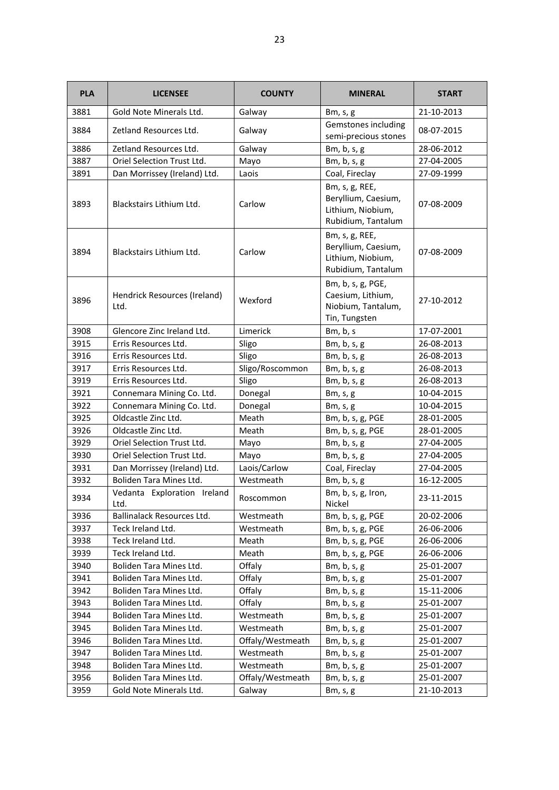| <b>PLA</b> | <b>LICENSEE</b>                      | <b>COUNTY</b>    | <b>MINERAL</b>                                                                   | <b>START</b> |
|------------|--------------------------------------|------------------|----------------------------------------------------------------------------------|--------------|
| 3881       | Gold Note Minerals Ltd.              | Galway           | Bm, s, g                                                                         | 21-10-2013   |
| 3884       | Zetland Resources Ltd.               | Galway           | Gemstones including<br>semi-precious stones                                      | 08-07-2015   |
| 3886       | Zetland Resources Ltd.               | Galway           | Bm, $b$ , $s$ , $g$                                                              | 28-06-2012   |
| 3887       | Oriel Selection Trust Ltd.           | Mayo             | Bm, $b$ , $s$ , $g$                                                              | 27-04-2005   |
| 3891       | Dan Morrissey (Ireland) Ltd.         | Laois            | Coal, Fireclay                                                                   | 27-09-1999   |
| 3893       | Blackstairs Lithium Ltd.             | Carlow           | Bm, s, g, REE,<br>Beryllium, Caesium,<br>Lithium, Niobium,<br>Rubidium, Tantalum | 07-08-2009   |
| 3894       | <b>Blackstairs Lithium Ltd.</b>      | Carlow           | Bm, s, g, REE,<br>Beryllium, Caesium,<br>Lithium, Niobium,<br>Rubidium, Tantalum | 07-08-2009   |
| 3896       | Hendrick Resources (Ireland)<br>Ltd. | Wexford          | Bm, b, s, g, PGE,<br>Caesium, Lithium,<br>Niobium, Tantalum,<br>Tin, Tungsten    | 27-10-2012   |
| 3908       | Glencore Zinc Ireland Ltd.           | Limerick         | Bm, b, s                                                                         | 17-07-2001   |
| 3915       | Erris Resources Ltd.                 | Sligo            | Bm, b, s, g                                                                      | 26-08-2013   |
| 3916       | Erris Resources Ltd.                 | Sligo            | Bm, b, s, g                                                                      | 26-08-2013   |
| 3917       | Erris Resources Ltd.                 | Sligo/Roscommon  | Bm, b, s, g                                                                      | 26-08-2013   |
| 3919       | Erris Resources Ltd.                 | Sligo            | Bm, b, s, g                                                                      | 26-08-2013   |
| 3921       | Connemara Mining Co. Ltd.            | Donegal          | Bm, s, g                                                                         | 10-04-2015   |
| 3922       | Connemara Mining Co. Ltd.            | Donegal          | Bm, s, g                                                                         | 10-04-2015   |
| 3925       | Oldcastle Zinc Ltd.                  | Meath            | Bm, b, s, g, PGE                                                                 | 28-01-2005   |
| 3926       | Oldcastle Zinc Ltd.                  | Meath            | Bm, b, s, g, PGE                                                                 | 28-01-2005   |
| 3929       | Oriel Selection Trust Ltd.           | Mayo             | Bm, b, s, g                                                                      | 27-04-2005   |
| 3930       | Oriel Selection Trust Ltd.           | Mayo             | Bm, b, s, g                                                                      | 27-04-2005   |
| 3931       | Dan Morrissey (Ireland) Ltd.         | Laois/Carlow     | Coal, Fireclay                                                                   | 27-04-2005   |
| 3932       | Boliden Tara Mines Ltd.              | Westmeath        | Bm, b, s, g                                                                      | 16-12-2005   |
| 3934       | Vedanta Exploration Ireland<br>Ltd.  | Roscommon        | Bm, b, s, g, Iron,<br>Nickel                                                     | 23-11-2015   |
| 3936       | Ballinalack Resources Ltd.           | Westmeath        | Bm, b, s, g, PGE                                                                 | 20-02-2006   |
| 3937       | Teck Ireland Ltd.                    | Westmeath        | Bm, b, s, g, PGE                                                                 | 26-06-2006   |
| 3938       | Teck Ireland Ltd.                    | Meath            | Bm, b, s, g, PGE                                                                 | 26-06-2006   |
| 3939       | Teck Ireland Ltd.                    | Meath            | Bm, b, s, g, PGE                                                                 | 26-06-2006   |
| 3940       | Boliden Tara Mines Ltd.              | Offaly           | Bm, $b, s, g$                                                                    | 25-01-2007   |
| 3941       | Boliden Tara Mines Ltd.              | Offaly           | Bm, b, s, g                                                                      | 25-01-2007   |
| 3942       | Boliden Tara Mines Ltd.              | Offaly           | Bm, b, s, g                                                                      | 15-11-2006   |
| 3943       | Boliden Tara Mines Ltd.              | Offaly           | Bm, b, s, g                                                                      | 25-01-2007   |
| 3944       | Boliden Tara Mines Ltd.              | Westmeath        | Bm, b, s, g                                                                      | 25-01-2007   |
| 3945       | Boliden Tara Mines Ltd.              | Westmeath        | Bm, b, s, g                                                                      | 25-01-2007   |
| 3946       | Boliden Tara Mines Ltd.              | Offaly/Westmeath | Bm, $b, s, g$                                                                    | 25-01-2007   |
| 3947       | Boliden Tara Mines Ltd.              | Westmeath        | Bm, $b$ , $s$ , $g$                                                              | 25-01-2007   |
| 3948       | Boliden Tara Mines Ltd.              | Westmeath        | Bm, b, s, g                                                                      | 25-01-2007   |
| 3956       | Boliden Tara Mines Ltd.              | Offaly/Westmeath | Bm, b, s, g                                                                      | 25-01-2007   |
| 3959       | Gold Note Minerals Ltd.              | Galway           | Bm, s, g                                                                         | 21-10-2013   |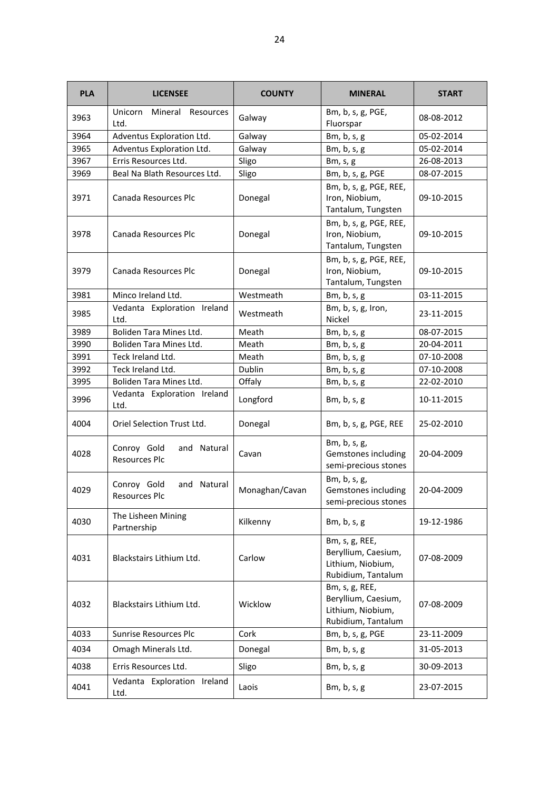| <b>PLA</b> | <b>LICENSEE</b>                             | <b>COUNTY</b>  | <b>MINERAL</b>                                                                   | <b>START</b> |
|------------|---------------------------------------------|----------------|----------------------------------------------------------------------------------|--------------|
| 3963       | Mineral<br>Unicorn<br>Resources<br>Ltd.     | Galway         | Bm, b, s, g, PGE,<br>Fluorspar                                                   | 08-08-2012   |
| 3964       | Adventus Exploration Ltd.                   | Galway         | Bm, $b$ , $s$ , $g$                                                              | 05-02-2014   |
| 3965       | Adventus Exploration Ltd.                   | Galway         | Bm, $b$ , $s$ , $g$                                                              | 05-02-2014   |
| 3967       | Erris Resources Ltd.                        | Sligo          | Bm, s, g                                                                         | 26-08-2013   |
| 3969       | Beal Na Blath Resources Ltd.                | Sligo          | Bm, b, s, g, PGE                                                                 | 08-07-2015   |
| 3971       | Canada Resources Plc                        | Donegal        | Bm, b, s, g, PGE, REE,<br>Iron, Niobium,<br>Tantalum, Tungsten                   | 09-10-2015   |
| 3978       | Canada Resources Plc                        | Donegal        | Bm, b, s, g, PGE, REE,<br>Iron, Niobium,<br>Tantalum, Tungsten                   | 09-10-2015   |
| 3979       | Canada Resources Plc                        | Donegal        | Bm, b, s, g, PGE, REE,<br>Iron, Niobium,<br>Tantalum, Tungsten                   | 09-10-2015   |
| 3981       | Minco Ireland Ltd.                          | Westmeath      | Bm, $b$ , $s$ , $g$                                                              | 03-11-2015   |
| 3985       | Vedanta Exploration Ireland<br>Ltd.         | Westmeath      | Bm, b, s, g, Iron,<br>Nickel                                                     | 23-11-2015   |
| 3989       | Boliden Tara Mines Ltd.                     | Meath          | Bm, b, s, g                                                                      | 08-07-2015   |
| 3990       | Boliden Tara Mines Ltd.                     | Meath          | Bm, b, s, g                                                                      | 20-04-2011   |
| 3991       | Teck Ireland Ltd.                           | Meath          | Bm, b, s, g                                                                      | 07-10-2008   |
| 3992       | Teck Ireland Ltd.                           | Dublin         | Bm, b, s, g                                                                      | 07-10-2008   |
| 3995       | Boliden Tara Mines Ltd.                     | Offaly         | Bm, b, s, g                                                                      | 22-02-2010   |
| 3996       | Vedanta Exploration Ireland<br>Ltd.         | Longford       | Bm, b, s, g                                                                      | 10-11-2015   |
| 4004       | Oriel Selection Trust Ltd.                  | Donegal        | Bm, b, s, g, PGE, REE                                                            | 25-02-2010   |
| 4028       | Conroy Gold<br>and Natural<br>Resources Plc | Cavan          | Bm, b, s, g,<br>Gemstones including<br>semi-precious stones                      | 20-04-2009   |
| 4029       | Conroy Gold<br>and Natural<br>Resources Plc | Monaghan/Cavan | Bm, b, s, g,<br>Gemstones including<br>semi-precious stones                      | 20-04-2009   |
| 4030       | The Lisheen Mining<br>Partnership           | Kilkenny       | Bm, b, s, g                                                                      | 19-12-1986   |
| 4031       | Blackstairs Lithium Ltd.                    | Carlow         | Bm, s, g, REE,<br>Beryllium, Caesium,<br>Lithium, Niobium,<br>Rubidium, Tantalum | 07-08-2009   |
| 4032       | Blackstairs Lithium Ltd.                    | Wicklow        | Bm, s, g, REE,<br>Beryllium, Caesium,<br>Lithium, Niobium,<br>Rubidium, Tantalum | 07-08-2009   |
| 4033       | <b>Sunrise Resources Plc</b>                | Cork           | Bm, b, s, g, PGE                                                                 | 23-11-2009   |
| 4034       | Omagh Minerals Ltd.                         | Donegal        | Bm, b, s, g                                                                      | 31-05-2013   |
| 4038       | Erris Resources Ltd.                        | Sligo          | Bm, $b$ , $s$ , $g$                                                              | 30-09-2013   |
| 4041       | Vedanta Exploration Ireland<br>Ltd.         | Laois          | Bm, b, s, g                                                                      | 23-07-2015   |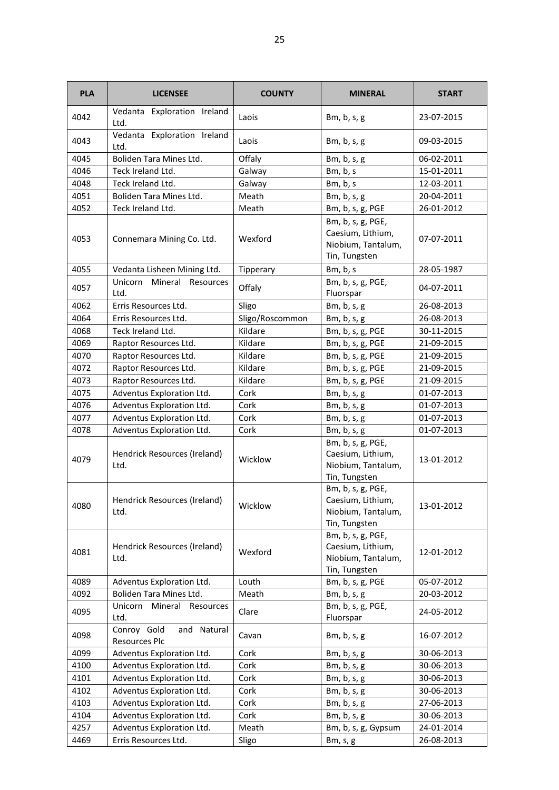| <b>PLA</b> | <b>LICENSEE</b>                             | <b>COUNTY</b>   | <b>MINERAL</b>                                                                | <b>START</b> |
|------------|---------------------------------------------|-----------------|-------------------------------------------------------------------------------|--------------|
| 4042       | Vedanta Exploration Ireland<br>Ltd.         | Laois           | Bm, b, s, g                                                                   | 23-07-2015   |
| 4043       | Vedanta Exploration Ireland<br>Ltd.         | Laois           | Bm, b, s, g                                                                   | 09-03-2015   |
| 4045       | Boliden Tara Mines Ltd.                     | Offaly          | Bm, b, s, g                                                                   | 06-02-2011   |
| 4046       | Teck Ireland Ltd.                           | Galway          | Bm, b, s                                                                      | 15-01-2011   |
| 4048       | Teck Ireland Ltd.                           | Galway          | Bm, b, s                                                                      | 12-03-2011   |
| 4051       | Boliden Tara Mines Ltd.                     | Meath           | Bm, b, s, g                                                                   | 20-04-2011   |
| 4052       | Teck Ireland Ltd.                           | Meath           | Bm, b, s, g, PGE                                                              | 26-01-2012   |
| 4053       | Connemara Mining Co. Ltd.                   | Wexford         | Bm, b, s, g, PGE,<br>Caesium, Lithium,<br>Niobium, Tantalum,<br>Tin, Tungsten | 07-07-2011   |
| 4055       | Vedanta Lisheen Mining Ltd.                 | Tipperary       | Bm, b, s                                                                      | 28-05-1987   |
| 4057       | Unicorn Mineral Resources<br>Ltd.           | Offaly          | Bm, b, s, g, PGE,<br>Fluorspar                                                | 04-07-2011   |
| 4062       | Erris Resources Ltd.                        | Sligo           | Bm, b, s, g                                                                   | 26-08-2013   |
| 4064       | Erris Resources Ltd.                        | Sligo/Roscommon | Bm, b, s, g                                                                   | 26-08-2013   |
| 4068       | Teck Ireland Ltd.                           | Kildare         | Bm, b, s, g, PGE                                                              | 30-11-2015   |
| 4069       | Raptor Resources Ltd.                       | Kildare         | Bm, b, s, g, PGE                                                              | 21-09-2015   |
| 4070       | Raptor Resources Ltd.                       | Kildare         | Bm, b, s, g, PGE                                                              | 21-09-2015   |
| 4072       | Raptor Resources Ltd.                       | Kildare         | Bm, b, s, g, PGE                                                              | 21-09-2015   |
| 4073       | Raptor Resources Ltd.                       | Kildare         | Bm, b, s, g, PGE                                                              | 21-09-2015   |
| 4075       | Adventus Exploration Ltd.                   | Cork            | Bm, b, s, g                                                                   | 01-07-2013   |
| 4076       | Adventus Exploration Ltd.                   | Cork            | Bm, b, s, g                                                                   | 01-07-2013   |
| 4077       | Adventus Exploration Ltd.                   | Cork            | Bm, b, s, g                                                                   | 01-07-2013   |
| 4078       | Adventus Exploration Ltd.                   | Cork            | Bm, b, s, g                                                                   | 01-07-2013   |
| 4079       | Hendrick Resources (Ireland)<br>Ltd.        | Wicklow         | Bm, b, s, g, PGE,<br>Caesium, Lithium,<br>Niobium, Tantalum,<br>Tin, Tungsten | 13-01-2012   |
| 4080       | Hendrick Resources (Ireland)<br>Ltd.        | Wicklow         | Bm, b, s, g, PGE,<br>Caesium, Lithium,<br>Niobium, Tantalum,<br>Tin, Tungsten | 13-01-2012   |
| 4081       | Hendrick Resources (Ireland)<br>Ltd.        | Wexford         | Bm, b, s, g, PGE,<br>Caesium, Lithium,<br>Niobium, Tantalum,<br>Tin, Tungsten | 12-01-2012   |
| 4089       | Adventus Exploration Ltd.                   | Louth           | Bm, b, s, g, PGE                                                              | 05-07-2012   |
| 4092       | Boliden Tara Mines Ltd.                     | Meath           | Bm, b, s, g                                                                   | 20-03-2012   |
| 4095       | Unicorn<br>Mineral<br>Resources<br>Ltd.     | Clare           | Bm, b, s, g, PGE,<br>Fluorspar                                                | 24-05-2012   |
| 4098       | Conroy Gold<br>and Natural<br>Resources Plc | Cavan           | Bm, $b$ , $s$ , $g$                                                           | 16-07-2012   |
| 4099       | Adventus Exploration Ltd.                   | Cork            | Bm, b, s, g                                                                   | 30-06-2013   |
| 4100       | Adventus Exploration Ltd.                   | Cork            | Bm, b, s, g                                                                   | 30-06-2013   |
| 4101       | Adventus Exploration Ltd.                   | Cork            | Bm, b, s, g                                                                   | 30-06-2013   |
| 4102       | Adventus Exploration Ltd.                   | Cork            | Bm, b, s, g                                                                   | 30-06-2013   |
| 4103       | Adventus Exploration Ltd.                   | Cork            | Bm, b, s, g                                                                   | 27-06-2013   |
| 4104       | Adventus Exploration Ltd.                   | Cork            | Bm, b, s, g                                                                   | 30-06-2013   |
| 4257       | Adventus Exploration Ltd.                   | Meath           | Bm, b, s, g, Gypsum                                                           | 24-01-2014   |
| 4469       | Erris Resources Ltd.                        | Sligo           | Bm, s, g                                                                      | 26-08-2013   |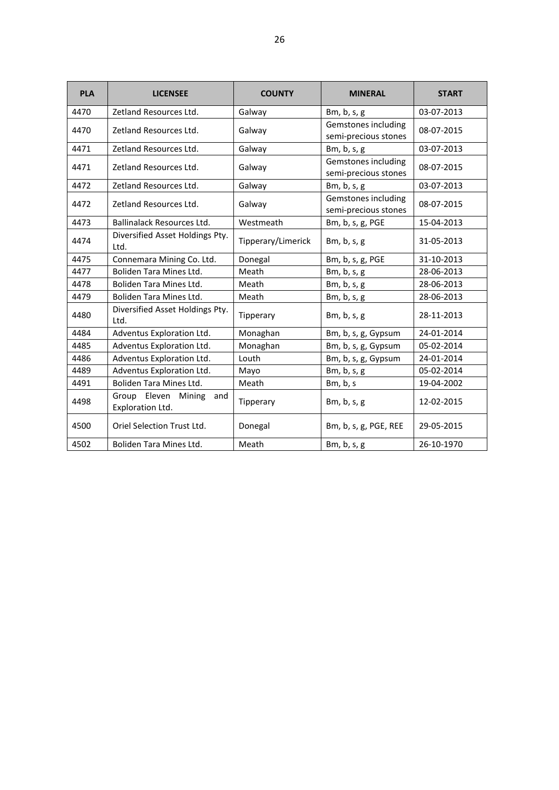| <b>PLA</b> | <b>LICENSEE</b>                             | <b>COUNTY</b>      | <b>MINERAL</b>                              | <b>START</b> |
|------------|---------------------------------------------|--------------------|---------------------------------------------|--------------|
| 4470       | Zetland Resources Ltd.                      | Galway             | Bm, b, s, g                                 | 03-07-2013   |
| 4470       | Zetland Resources Ltd.                      | Galway             | Gemstones including<br>semi-precious stones | 08-07-2015   |
| 4471       | Zetland Resources Ltd.                      | Galway             | Bm, b, s, g                                 | 03-07-2013   |
| 4471       | Zetland Resources Ltd.                      | Galway             | Gemstones including<br>semi-precious stones | 08-07-2015   |
| 4472       | Zetland Resources Ltd.                      | Galway             | Bm, b, s, g                                 | 03-07-2013   |
| 4472       | Zetland Resources Ltd.                      | Galway             | Gemstones including<br>semi-precious stones | 08-07-2015   |
| 4473       | Ballinalack Resources Ltd.                  | Westmeath          | Bm, b, s, g, PGE                            | 15-04-2013   |
| 4474       | Diversified Asset Holdings Pty.<br>Ltd.     | Tipperary/Limerick | Bm, b, s, g                                 | 31-05-2013   |
| 4475       | Connemara Mining Co. Ltd.                   | Donegal            | Bm, b, s, g, PGE                            | 31-10-2013   |
| 4477       | Boliden Tara Mines Ltd.                     | Meath              | Bm, b, s, g                                 | 28-06-2013   |
| 4478       | Boliden Tara Mines Ltd.                     | Meath              | Bm, b, s, g                                 | 28-06-2013   |
| 4479       | Boliden Tara Mines Ltd.                     | Meath              | Bm, b, s, g                                 | 28-06-2013   |
| 4480       | Diversified Asset Holdings Pty.<br>Ltd.     | Tipperary          | Bm, b, s, g                                 | 28-11-2013   |
| 4484       | Adventus Exploration Ltd.                   | Monaghan           | Bm, b, s, g, Gypsum                         | 24-01-2014   |
| 4485       | Adventus Exploration Ltd.                   | Monaghan           | Bm, b, s, g, Gypsum                         | 05-02-2014   |
| 4486       | Adventus Exploration Ltd.                   | Louth              | Bm, b, s, g, Gypsum                         | 24-01-2014   |
| 4489       | Adventus Exploration Ltd.                   | Mayo               | Bm, b, s, g                                 | 05-02-2014   |
| 4491       | Boliden Tara Mines Ltd.                     | Meath              | Bm, b, s                                    | 19-04-2002   |
| 4498       | Group Eleven Mining and<br>Exploration Ltd. | Tipperary          | Bm, b, s, g                                 | 12-02-2015   |
| 4500       | Oriel Selection Trust Ltd.                  | Donegal            | Bm, b, s, g, PGE, REE                       | 29-05-2015   |
| 4502       | Boliden Tara Mines Ltd.                     | Meath              | Bm, b, s, g                                 | 26-10-1970   |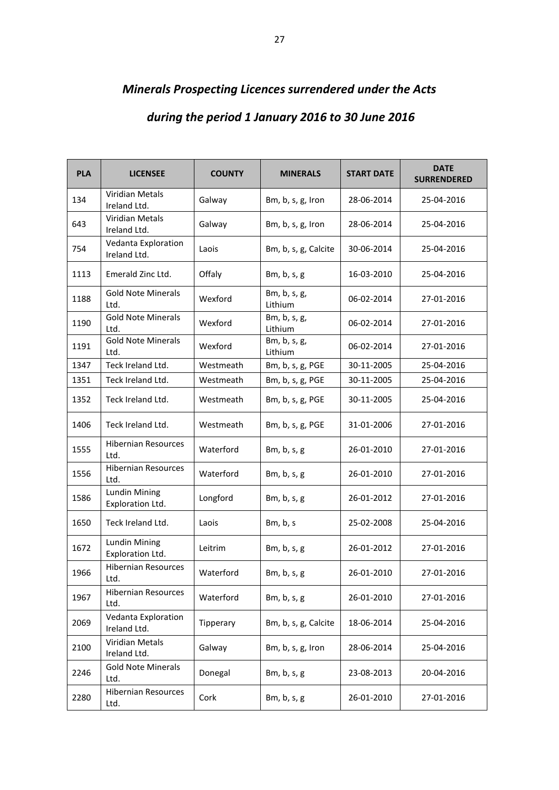## *Minerals Prospecting Licences surrendered under the Acts*

## *during the period 1 January 2016 to 30 June 2016*

| <b>PLA</b> | <b>LICENSEE</b>                          | <b>COUNTY</b> | <b>MINERALS</b>         | <b>START DATE</b> | <b>DATE</b><br><b>SURRENDERED</b> |
|------------|------------------------------------------|---------------|-------------------------|-------------------|-----------------------------------|
| 134        | <b>Viridian Metals</b><br>Ireland Ltd.   | Galway        | Bm, b, s, g, Iron       | 28-06-2014        | 25-04-2016                        |
| 643        | Viridian Metals<br>Ireland Ltd.          | Galway        | Bm, b, s, g, Iron       | 28-06-2014        | 25-04-2016                        |
| 754        | Vedanta Exploration<br>Ireland Ltd.      | Laois         | Bm, b, s, g, Calcite    | 30-06-2014        | 25-04-2016                        |
| 1113       | Emerald Zinc Ltd.                        | Offaly        | Bm, b, s, g             | 16-03-2010        | 25-04-2016                        |
| 1188       | <b>Gold Note Minerals</b><br>Ltd.        | Wexford       | Bm, b, s, g,<br>Lithium | 06-02-2014        | 27-01-2016                        |
| 1190       | <b>Gold Note Minerals</b><br>Ltd.        | Wexford       | Bm, b, s, g,<br>Lithium | 06-02-2014        | 27-01-2016                        |
| 1191       | <b>Gold Note Minerals</b><br>Ltd.        | Wexford       | Bm, b, s, g,<br>Lithium | 06-02-2014        | 27-01-2016                        |
| 1347       | Teck Ireland Ltd.                        | Westmeath     | Bm, b, s, g, PGE        | 30-11-2005        | 25-04-2016                        |
| 1351       | Teck Ireland Ltd.                        | Westmeath     | Bm, b, s, g, PGE        | 30-11-2005        | 25-04-2016                        |
| 1352       | Teck Ireland Ltd.                        | Westmeath     | Bm, b, s, g, PGE        | 30-11-2005        | 25-04-2016                        |
| 1406       | Teck Ireland Ltd.                        | Westmeath     | Bm, b, s, g, PGE        | 31-01-2006        | 27-01-2016                        |
| 1555       | <b>Hibernian Resources</b><br>Ltd.       | Waterford     | Bm, b, s, g             | 26-01-2010        | 27-01-2016                        |
| 1556       | <b>Hibernian Resources</b><br>Ltd.       | Waterford     | Bm, b, s, g             | 26-01-2010        | 27-01-2016                        |
| 1586       | <b>Lundin Mining</b><br>Exploration Ltd. | Longford      | Bm, b, s, g             | 26-01-2012        | 27-01-2016                        |
| 1650       | Teck Ireland Ltd.                        | Laois         | Bm, b, s                | 25-02-2008        | 25-04-2016                        |
| 1672       | <b>Lundin Mining</b><br>Exploration Ltd. | Leitrim       | Bm, b, s, g             | 26-01-2012        | 27-01-2016                        |
| 1966       | <b>Hibernian Resources</b><br>Ltd.       | Waterford     | Bm, b, s, g             | 26-01-2010        | 27-01-2016                        |
| 1967       | <b>Hibernian Resources</b><br>Ltd.       | Waterford     | Bm, b, s, g             | 26-01-2010        | 27-01-2016                        |
| 2069       | Vedanta Exploration<br>Ireland Ltd.      | Tipperary     | Bm, b, s, g, Calcite    | 18-06-2014        | 25-04-2016                        |
| 2100       | Viridian Metals<br>Ireland Ltd.          | Galway        | Bm, b, s, g, Iron       | 28-06-2014        | 25-04-2016                        |
| 2246       | <b>Gold Note Minerals</b><br>Ltd.        | Donegal       | Bm, b, s, g             | 23-08-2013        | 20-04-2016                        |
| 2280       | <b>Hibernian Resources</b><br>Ltd.       | Cork          | Bm, b, s, g             | 26-01-2010        | 27-01-2016                        |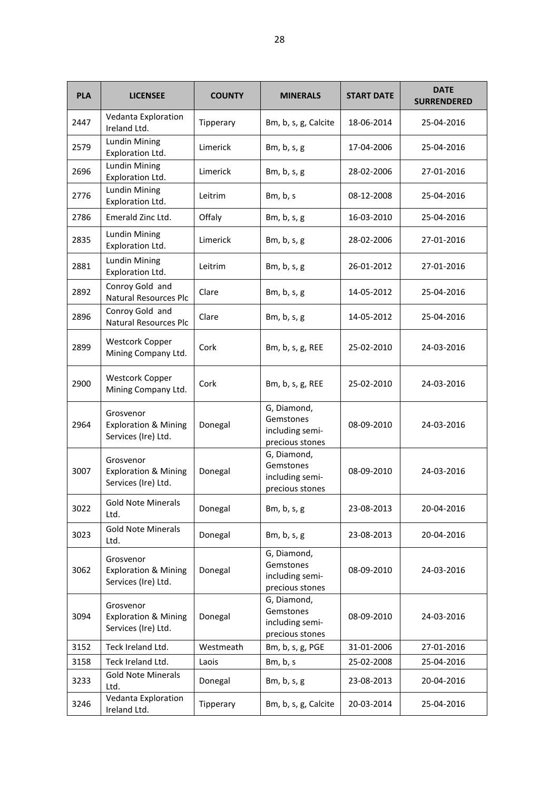| <b>PLA</b> | <b>LICENSEE</b>                                                     | <b>COUNTY</b> | <b>MINERALS</b>                                                | <b>START DATE</b> | <b>DATE</b><br><b>SURRENDERED</b> |
|------------|---------------------------------------------------------------------|---------------|----------------------------------------------------------------|-------------------|-----------------------------------|
| 2447       | Vedanta Exploration<br>Ireland Ltd.                                 | Tipperary     | Bm, b, s, g, Calcite                                           | 18-06-2014        | 25-04-2016                        |
| 2579       | <b>Lundin Mining</b><br>Exploration Ltd.                            | Limerick      | Bm, b, s, g                                                    | 17-04-2006        | 25-04-2016                        |
| 2696       | <b>Lundin Mining</b><br>Exploration Ltd.                            | Limerick      | Bm, b, s, g                                                    | 28-02-2006        | 27-01-2016                        |
| 2776       | <b>Lundin Mining</b><br>Exploration Ltd.                            | Leitrim       | Bm, b, s                                                       | 08-12-2008        | 25-04-2016                        |
| 2786       | Emerald Zinc Ltd.                                                   | Offaly        | Bm, b, s, g                                                    | 16-03-2010        | 25-04-2016                        |
| 2835       | <b>Lundin Mining</b><br>Exploration Ltd.                            | Limerick      | Bm, b, s, g                                                    | 28-02-2006        | 27-01-2016                        |
| 2881       | <b>Lundin Mining</b><br>Exploration Ltd.                            | Leitrim       | Bm, b, s, g                                                    | 26-01-2012        | 27-01-2016                        |
| 2892       | Conroy Gold and<br><b>Natural Resources Plc</b>                     | Clare         | Bm, $b$ , $s$ , $g$                                            | 14-05-2012        | 25-04-2016                        |
| 2896       | Conroy Gold and<br><b>Natural Resources Plc</b>                     | Clare         | Bm, b, s, g                                                    | 14-05-2012        | 25-04-2016                        |
| 2899       | <b>Westcork Copper</b><br>Mining Company Ltd.                       | Cork          | Bm, b, s, g, REE                                               | 25-02-2010        | 24-03-2016                        |
| 2900       | <b>Westcork Copper</b><br>Mining Company Ltd.                       | Cork          | Bm, b, s, g, REE                                               | 25-02-2010        | 24-03-2016                        |
| 2964       | Grosvenor<br><b>Exploration &amp; Mining</b><br>Services (Ire) Ltd. | Donegal       | G, Diamond,<br>Gemstones<br>including semi-<br>precious stones | 08-09-2010        | 24-03-2016                        |
| 3007       | Grosvenor<br><b>Exploration &amp; Mining</b><br>Services (Ire) Ltd. | Donegal       | G, Diamond,<br>Gemstones<br>including semi-<br>precious stones | 08-09-2010        | 24-03-2016                        |
| 3022       | <b>Gold Note Minerals</b><br>Ltd.                                   | Donegal       | Bm, b, s, g                                                    | 23-08-2013        | 20-04-2016                        |
| 3023       | <b>Gold Note Minerals</b><br>Ltd.                                   | Donegal       | $Bm$ , b, s, g                                                 | 23-08-2013        | 20-04-2016                        |
| 3062       | Grosvenor<br><b>Exploration &amp; Mining</b><br>Services (Ire) Ltd. | Donegal       | G, Diamond,<br>Gemstones<br>including semi-<br>precious stones | 08-09-2010        | 24-03-2016                        |
| 3094       | Grosvenor<br><b>Exploration &amp; Mining</b><br>Services (Ire) Ltd. | Donegal       | G, Diamond,<br>Gemstones<br>including semi-<br>precious stones | 08-09-2010        | 24-03-2016                        |
| 3152       | Teck Ireland Ltd.                                                   | Westmeath     | Bm, b, s, g, PGE                                               | 31-01-2006        | 27-01-2016                        |
| 3158       | Teck Ireland Ltd.                                                   | Laois         | Bm, b, s                                                       | 25-02-2008        | 25-04-2016                        |
| 3233       | <b>Gold Note Minerals</b><br>Ltd.                                   | Donegal       | Bm, b, s, g                                                    | 23-08-2013        | 20-04-2016                        |
| 3246       | Vedanta Exploration<br>Ireland Ltd.                                 | Tipperary     | Bm, b, s, g, Calcite                                           | 20-03-2014        | 25-04-2016                        |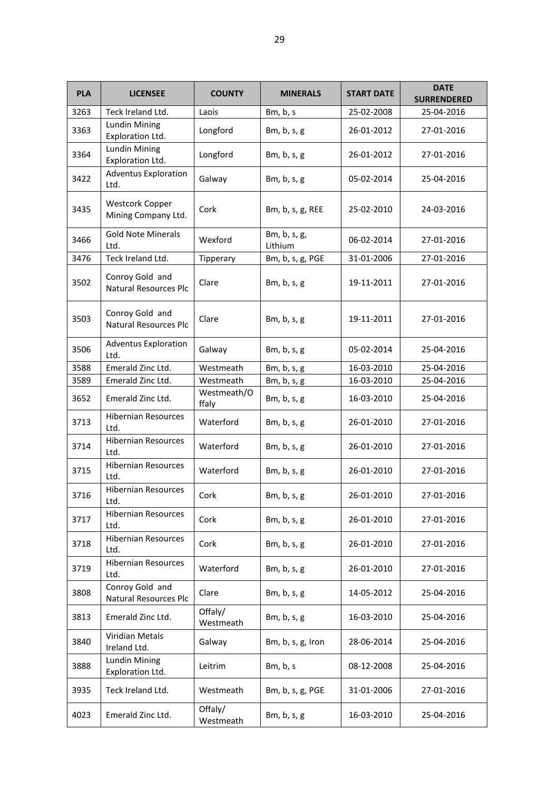| <b>PLA</b> | <b>LICENSEE</b>                                 | <b>COUNTY</b>        | <b>MINERALS</b>         | <b>START DATE</b> | <b>DATE</b><br><b>SURRENDERED</b> |
|------------|-------------------------------------------------|----------------------|-------------------------|-------------------|-----------------------------------|
| 3263       | Teck Ireland Ltd.                               | Laois                | Bm, b, s                | 25-02-2008        | 25-04-2016                        |
| 3363       | <b>Lundin Mining</b><br>Exploration Ltd.        | Longford             | Bm, b, s, g             | 26-01-2012        | 27-01-2016                        |
| 3364       | <b>Lundin Mining</b><br>Exploration Ltd.        | Longford             | Bm, b, s, g             | 26-01-2012        | 27-01-2016                        |
| 3422       | <b>Adventus Exploration</b><br>Ltd.             | Galway               | $Bm$ , b, s, g          | 05-02-2014        | 25-04-2016                        |
| 3435       | <b>Westcork Copper</b><br>Mining Company Ltd.   | Cork                 | Bm, b, s, g, REE        | 25-02-2010        | 24-03-2016                        |
| 3466       | <b>Gold Note Minerals</b><br>Ltd.               | Wexford              | Bm, b, s, g,<br>Lithium | 06-02-2014        | 27-01-2016                        |
| 3476       | Teck Ireland Ltd.                               | Tipperary            | Bm, b, s, g, PGE        | 31-01-2006        | 27-01-2016                        |
| 3502       | Conroy Gold and<br><b>Natural Resources Plc</b> | Clare                | Bm, b, s, g             | 19-11-2011        | 27-01-2016                        |
| 3503       | Conroy Gold and<br><b>Natural Resources Plc</b> | Clare                | Bm, b, s, g             | 19-11-2011        | 27-01-2016                        |
| 3506       | <b>Adventus Exploration</b><br>Ltd.             | Galway               | Bm, b, s, g             | 05-02-2014        | 25-04-2016                        |
| 3588       | Emerald Zinc Ltd.                               | Westmeath            | Bm, b, s, g             | 16-03-2010        | 25-04-2016                        |
| 3589       | Emerald Zinc Ltd.                               | Westmeath            | Bm, b, s, g             | 16-03-2010        | 25-04-2016                        |
| 3652       | Emerald Zinc Ltd.                               | Westmeath/O<br>ffaly | Bm, b, s, g             | 16-03-2010        | 25-04-2016                        |
| 3713       | <b>Hibernian Resources</b><br>Ltd.              | Waterford            | Bm, b, s, g             | 26-01-2010        | 27-01-2016                        |
| 3714       | <b>Hibernian Resources</b><br>Ltd.              | Waterford            | Bm, b, s, g             | 26-01-2010        | 27-01-2016                        |
| 3715       | <b>Hibernian Resources</b><br>Ltd.              | Waterford            | Bm, b, s, g             | 26-01-2010        | 27-01-2016                        |
| 3716       | <b>Hibernian Resources</b><br>Ltd.              | Cork                 | Bm, b, s, g             | 26-01-2010        | 27-01-2016                        |
| 3717       | <b>Hibernian Resources</b><br>Ltd.              | Cork                 | Bm, b, s, g             | 26-01-2010        | 27-01-2016                        |
| 3718       | <b>Hibernian Resources</b><br>Ltd.              | Cork                 | Bm, b, s, g             | 26-01-2010        | 27-01-2016                        |
| 3719       | <b>Hibernian Resources</b><br>Ltd.              | Waterford            | Bm, $b$ , s, $g$        | 26-01-2010        | 27-01-2016                        |
| 3808       | Conroy Gold and<br><b>Natural Resources Plc</b> | Clare                | Bm, $b$ , $s$ , $g$     | 14-05-2012        | 25-04-2016                        |
| 3813       | Emerald Zinc Ltd.                               | Offaly/<br>Westmeath | Bm, b, s, g             | 16-03-2010        | 25-04-2016                        |
| 3840       | Viridian Metals<br>Ireland Ltd.                 | Galway               | Bm, b, s, g, Iron       | 28-06-2014        | 25-04-2016                        |
| 3888       | <b>Lundin Mining</b><br>Exploration Ltd.        | Leitrim              | Bm, b, s                | 08-12-2008        | 25-04-2016                        |
| 3935       | Teck Ireland Ltd.                               | Westmeath            | Bm, b, s, g, PGE        | 31-01-2006        | 27-01-2016                        |
| 4023       | Emerald Zinc Ltd.                               | Offaly/<br>Westmeath | Bm, b, s, g             | 16-03-2010        | 25-04-2016                        |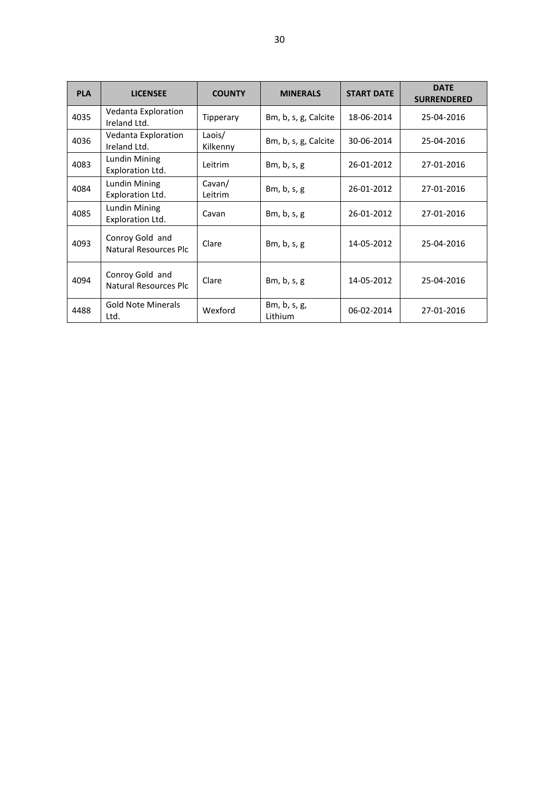| <b>PLA</b> | <b>LICENSEE</b>                                 | <b>COUNTY</b>      | <b>MINERALS</b>         | <b>START DATE</b> | <b>DATE</b><br><b>SURRENDERED</b> |
|------------|-------------------------------------------------|--------------------|-------------------------|-------------------|-----------------------------------|
| 4035       | Vedanta Exploration<br>Ireland Ltd.             | Tipperary          | Bm, b, s, g, Calcite    | 18-06-2014        | 25-04-2016                        |
| 4036       | Vedanta Exploration<br>Ireland Ltd.             | Laois/<br>Kilkenny | Bm, b, s, g, Calcite    | 30-06-2014        | 25-04-2016                        |
| 4083       | Lundin Mining<br>Exploration Ltd.               | Leitrim            | Bm, $b$ , $s$ , $g$     | 26-01-2012        | 27-01-2016                        |
| 4084       | Lundin Mining<br>Exploration Ltd.               | Cavan/<br>Leitrim  | Bm, b, s, g             | 26-01-2012        | 27-01-2016                        |
| 4085       | Lundin Mining<br>Exploration Ltd.               | Cavan              | Bm, $b, s, g$           | 26-01-2012        | 27-01-2016                        |
| 4093       | Conroy Gold and<br><b>Natural Resources Plc</b> | Clare              | Bm, $b$ , $s$ , $g$     | 14-05-2012        | 25-04-2016                        |
| 4094       | Conroy Gold and<br><b>Natural Resources Plc</b> | Clare              | Bm, $b$ , $s$ , $g$     | 14-05-2012        | 25-04-2016                        |
| 4488       | <b>Gold Note Minerals</b><br>Ltd.               | Wexford            | Bm, b, s, g,<br>Lithium | 06-02-2014        | 27-01-2016                        |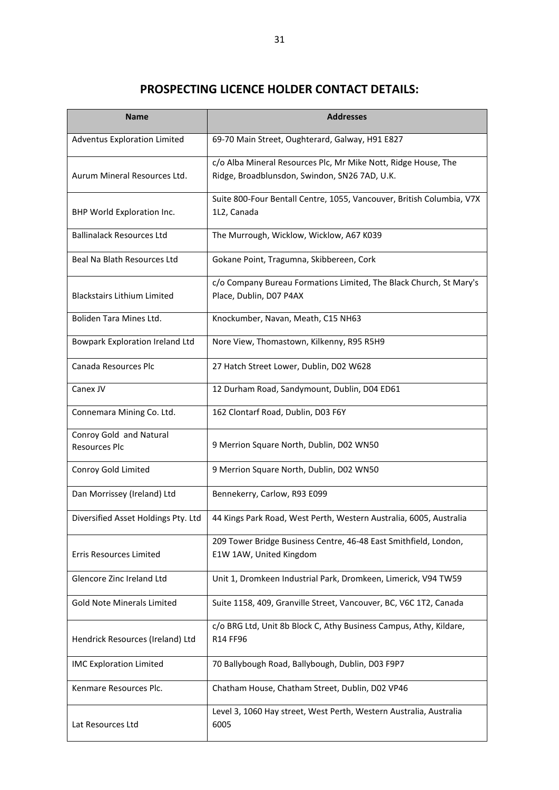### **PROSPECTING LICENCE HOLDER CONTACT DETAILS:**

| <b>Name</b>                            | <b>Addresses</b>                                                      |
|----------------------------------------|-----------------------------------------------------------------------|
| <b>Adventus Exploration Limited</b>    | 69-70 Main Street, Oughterard, Galway, H91 E827                       |
|                                        | c/o Alba Mineral Resources Plc, Mr Mike Nott, Ridge House, The        |
| Aurum Mineral Resources Ltd.           | Ridge, Broadblunsdon, Swindon, SN26 7AD, U.K.                         |
|                                        | Suite 800-Four Bentall Centre, 1055, Vancouver, British Columbia, V7X |
| BHP World Exploration Inc.             | 1L2, Canada                                                           |
| <b>Ballinalack Resources Ltd</b>       | The Murrough, Wicklow, Wicklow, A67 K039                              |
| <b>Beal Na Blath Resources Ltd</b>     | Gokane Point, Tragumna, Skibbereen, Cork                              |
|                                        | c/o Company Bureau Formations Limited, The Black Church, St Mary's    |
| <b>Blackstairs Lithium Limited</b>     | Place, Dublin, D07 P4AX                                               |
| Boliden Tara Mines Ltd.                | Knockumber, Navan, Meath, C15 NH63                                    |
| <b>Bowpark Exploration Ireland Ltd</b> | Nore View, Thomastown, Kilkenny, R95 R5H9                             |
| Canada Resources Plc                   | 27 Hatch Street Lower, Dublin, D02 W628                               |
| Canex JV                               | 12 Durham Road, Sandymount, Dublin, D04 ED61                          |
| Connemara Mining Co. Ltd.              | 162 Clontarf Road, Dublin, D03 F6Y                                    |
| Conroy Gold and Natural                |                                                                       |
| <b>Resources Plc</b>                   | 9 Merrion Square North, Dublin, D02 WN50                              |
| Conroy Gold Limited                    | 9 Merrion Square North, Dublin, D02 WN50                              |
| Dan Morrissey (Ireland) Ltd            | Bennekerry, Carlow, R93 E099                                          |
| Diversified Asset Holdings Pty. Ltd    | 44 Kings Park Road, West Perth, Western Australia, 6005, Australia    |
|                                        | 209 Tower Bridge Business Centre, 46-48 East Smithfield, London,      |
| Erris Resources Limited                | E1W 1AW, United Kingdom                                               |
| Glencore Zinc Ireland Ltd              | Unit 1, Dromkeen Industrial Park, Dromkeen, Limerick, V94 TW59        |
| <b>Gold Note Minerals Limited</b>      | Suite 1158, 409, Granville Street, Vancouver, BC, V6C 1T2, Canada     |
|                                        | c/o BRG Ltd, Unit 8b Block C, Athy Business Campus, Athy, Kildare,    |
| Hendrick Resources (Ireland) Ltd       | R14 FF96                                                              |
| <b>IMC Exploration Limited</b>         | 70 Ballybough Road, Ballybough, Dublin, D03 F9P7                      |
| Kenmare Resources Plc.                 | Chatham House, Chatham Street, Dublin, D02 VP46                       |
|                                        | Level 3, 1060 Hay street, West Perth, Western Australia, Australia    |
| Lat Resources Ltd                      | 6005                                                                  |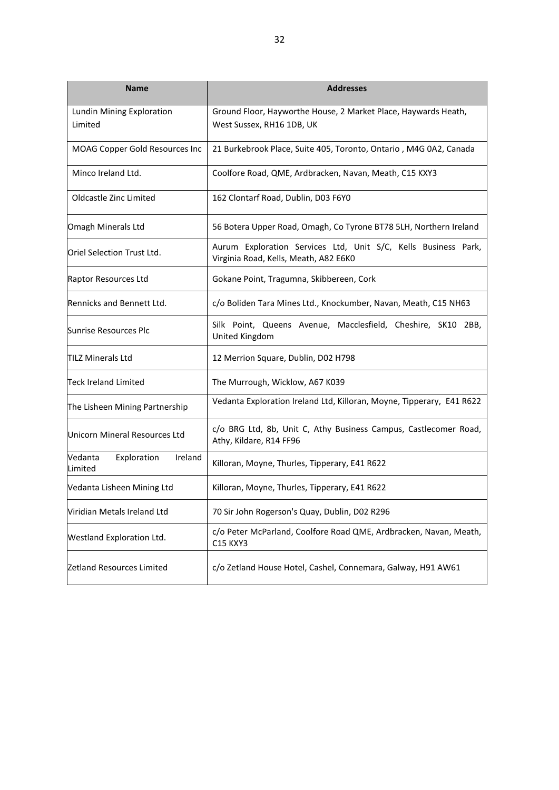| <b>Name</b>                                  | <b>Addresses</b>                                                                                        |
|----------------------------------------------|---------------------------------------------------------------------------------------------------------|
| Lundin Mining Exploration<br>Limited         | Ground Floor, Hayworthe House, 2 Market Place, Haywards Heath,<br>West Sussex, RH16 1DB, UK             |
| MOAG Copper Gold Resources Inc               | 21 Burkebrook Place, Suite 405, Toronto, Ontario, M4G 0A2, Canada                                       |
| Minco Ireland Ltd.                           | Coolfore Road, QME, Ardbracken, Navan, Meath, C15 KXY3                                                  |
| Oldcastle Zinc Limited                       | 162 Clontarf Road, Dublin, D03 F6Y0                                                                     |
| Omagh Minerals Ltd                           | 56 Botera Upper Road, Omagh, Co Tyrone BT78 5LH, Northern Ireland                                       |
| Oriel Selection Trust Ltd.                   | Aurum Exploration Services Ltd, Unit S/C, Kells Business Park,<br>Virginia Road, Kells, Meath, A82 E6K0 |
| Raptor Resources Ltd                         | Gokane Point, Tragumna, Skibbereen, Cork                                                                |
| Rennicks and Bennett Ltd.                    | c/o Boliden Tara Mines Ltd., Knockumber, Navan, Meath, C15 NH63                                         |
| Sunrise Resources Plc                        | Silk Point, Queens Avenue, Macclesfield, Cheshire, SK10 2BB,<br>United Kingdom                          |
| <b>TILZ Minerals Ltd</b>                     | 12 Merrion Square, Dublin, D02 H798                                                                     |
| <b>Teck Ireland Limited</b>                  | The Murrough, Wicklow, A67 K039                                                                         |
| The Lisheen Mining Partnership               | Vedanta Exploration Ireland Ltd, Killoran, Moyne, Tipperary, E41 R622                                   |
| Unicorn Mineral Resources Ltd                | c/o BRG Ltd, 8b, Unit C, Athy Business Campus, Castlecomer Road,<br>Athy, Kildare, R14 FF96             |
| Vedanta<br>Exploration<br>Ireland<br>Limited | Killoran, Moyne, Thurles, Tipperary, E41 R622                                                           |
| Vedanta Lisheen Mining Ltd                   | Killoran, Moyne, Thurles, Tipperary, E41 R622                                                           |
| Viridian Metals Ireland Ltd                  | 70 Sir John Rogerson's Quay, Dublin, D02 R296                                                           |
| Westland Exploration Ltd.                    | c/o Peter McParland, Coolfore Road QME, Ardbracken, Navan, Meath,<br>C15 KXY3                           |
| Zetland Resources Limited                    | c/o Zetland House Hotel, Cashel, Connemara, Galway, H91 AW61                                            |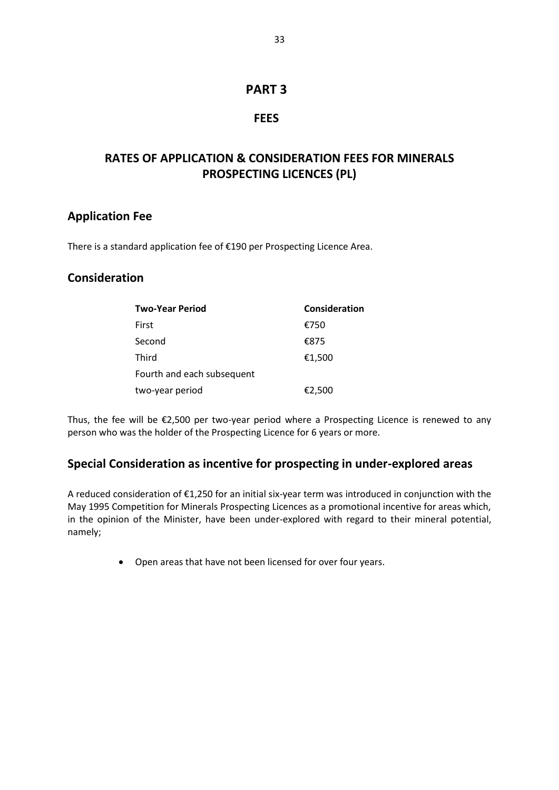### **FEES**

### **RATES OF APPLICATION & CONSIDERATION FEES FOR MINERALS PROSPECTING LICENCES (PL)**

### **Application Fee**

There is a standard application fee of €190 per Prospecting Licence Area.

### **Consideration**

| <b>Two-Year Period</b>     | Consideration |
|----------------------------|---------------|
| First                      | €750          |
| Second                     | €875          |
| Third                      | €1,500        |
| Fourth and each subsequent |               |
| two-year period            | €2,500        |

Thus, the fee will be €2,500 per two-year period where a Prospecting Licence is renewed to any person who was the holder of the Prospecting Licence for 6 years or more.

#### **Special Consideration as incentive for prospecting in under-explored areas**

A reduced consideration of €1,250 for an initial six-year term was introduced in conjunction with the May 1995 Competition for Minerals Prospecting Licences as a promotional incentive for areas which, in the opinion of the Minister, have been under-explored with regard to their mineral potential, namely;

Open areas that have not been licensed for over four years.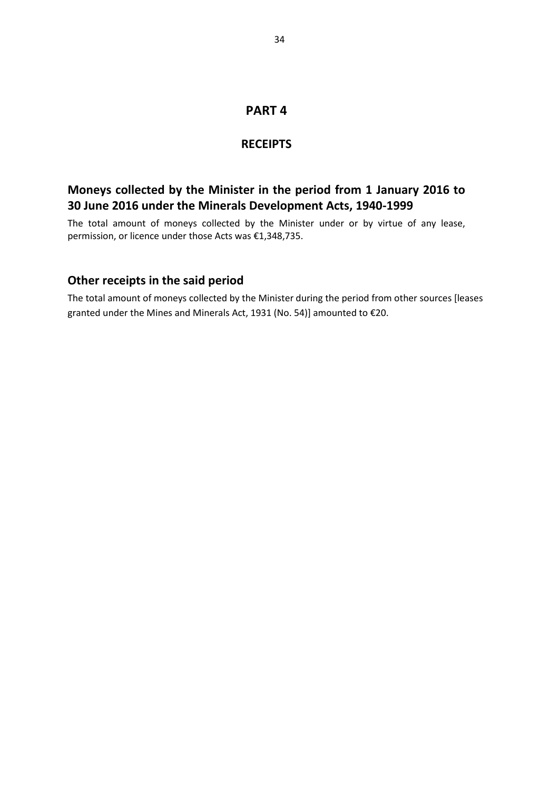#### **RECEIPTS**

### **Moneys collected by the Minister in the period from 1 January 2016 to 30 June 2016 under the Minerals Development Acts, 1940-1999**

The total amount of moneys collected by the Minister under or by virtue of any lease, permission, or licence under those Acts was €1,348,735.

#### **Other receipts in the said period**

The total amount of moneys collected by the Minister during the period from other sources [leases granted under the Mines and Minerals Act, 1931 (No. 54)] amounted to €20.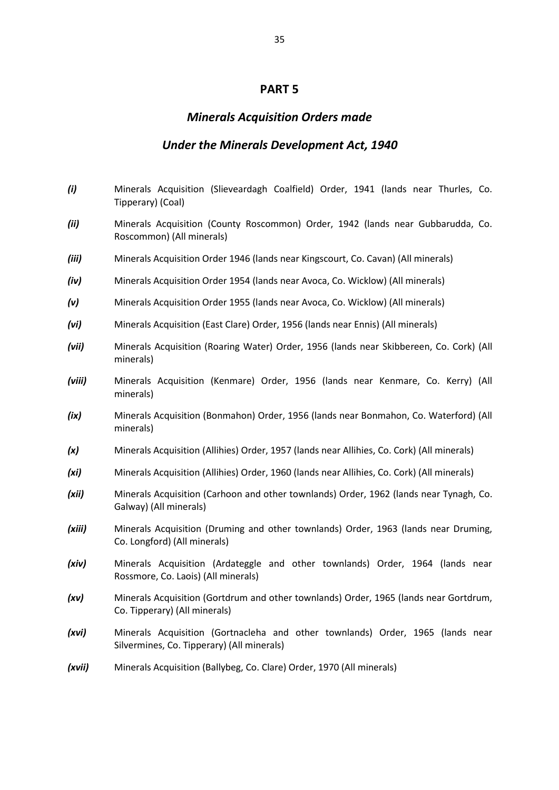#### *Minerals Acquisition Orders made*

#### *Under the Minerals Development Act, 1940*

- *(i)* Minerals Acquisition (Slieveardagh Coalfield) Order, 1941 (lands near Thurles, Co. Tipperary) (Coal)
- *(ii)* Minerals Acquisition (County Roscommon) Order, 1942 (lands near Gubbarudda, Co. Roscommon) (All minerals)
- *(iii)* Minerals Acquisition Order 1946 (lands near Kingscourt, Co. Cavan) (All minerals)
- *(iv)* Minerals Acquisition Order 1954 (lands near Avoca, Co. Wicklow) (All minerals)
- *(v)* Minerals Acquisition Order 1955 (lands near Avoca, Co. Wicklow) (All minerals)
- *(vi)* Minerals Acquisition (East Clare) Order, 1956 (lands near Ennis) (All minerals)
- *(vii)* Minerals Acquisition (Roaring Water) Order, 1956 (lands near Skibbereen, Co. Cork) (All minerals)
- *(viii)* Minerals Acquisition (Kenmare) Order, 1956 (lands near Kenmare, Co. Kerry) (All minerals)
- *(ix)* Minerals Acquisition (Bonmahon) Order, 1956 (lands near Bonmahon, Co. Waterford) (All minerals)
- *(x)* Minerals Acquisition (Allihies) Order, 1957 (lands near Allihies, Co. Cork) (All minerals)
- *(xi)* Minerals Acquisition (Allihies) Order, 1960 (lands near Allihies, Co. Cork) (All minerals)
- *(xii)* Minerals Acquisition (Carhoon and other townlands) Order, 1962 (lands near Tynagh, Co. Galway) (All minerals)
- *(xiii)* Minerals Acquisition (Druming and other townlands) Order, 1963 (lands near Druming, Co. Longford) (All minerals)
- *(xiv)* Minerals Acquisition (Ardateggle and other townlands) Order, 1964 (lands near Rossmore, Co. Laois) (All minerals)
- *(xv)* Minerals Acquisition (Gortdrum and other townlands) Order, 1965 (lands near Gortdrum, Co. Tipperary) (All minerals)
- *(xvi)* Minerals Acquisition (Gortnacleha and other townlands) Order, 1965 (lands near Silvermines, Co. Tipperary) (All minerals)
- *(xvii)* Minerals Acquisition (Ballybeg, Co. Clare) Order, 1970 (All minerals)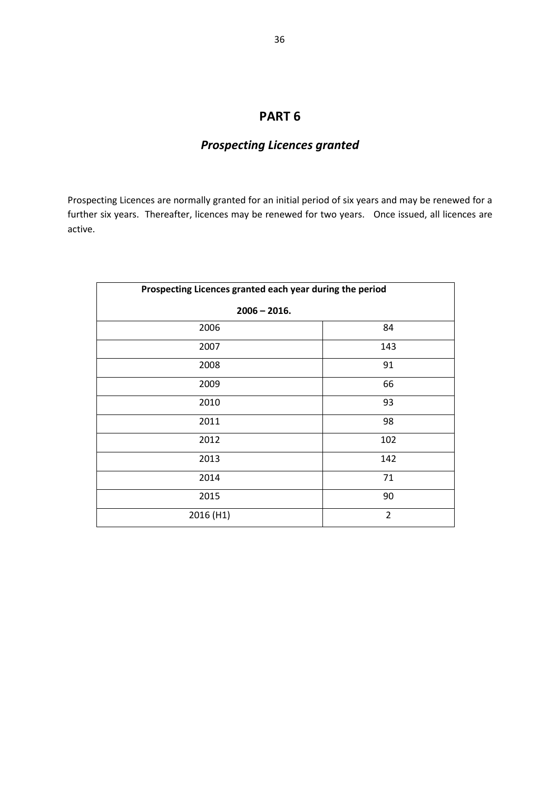## *Prospecting Licences granted*

Prospecting Licences are normally granted for an initial period of six years and may be renewed for a further six years. Thereafter, licences may be renewed for two years. Once issued, all licences are active.

| Prospecting Licences granted each year during the period |                |  |  |  |  |
|----------------------------------------------------------|----------------|--|--|--|--|
| $2006 - 2016.$                                           |                |  |  |  |  |
| 2006                                                     | 84             |  |  |  |  |
| 2007                                                     | 143            |  |  |  |  |
| 2008                                                     | 91             |  |  |  |  |
| 2009                                                     | 66             |  |  |  |  |
| 2010                                                     | 93             |  |  |  |  |
| 2011                                                     | 98             |  |  |  |  |
| 2012                                                     | 102            |  |  |  |  |
| 2013                                                     | 142            |  |  |  |  |
| 2014                                                     | 71             |  |  |  |  |
| 2015                                                     | 90             |  |  |  |  |
| 2016 (H1)                                                | $\overline{2}$ |  |  |  |  |